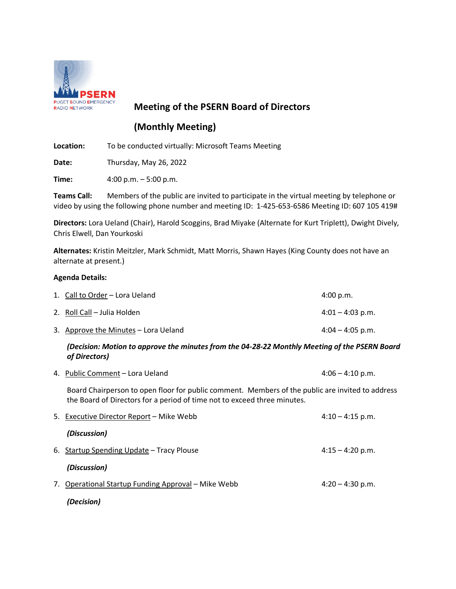

# **Meeting of the PSERN Board of Directors**

# **(Monthly Meeting)**

**Location:** To be conducted virtually: Microsoft Teams Meeting

**Date:** Thursday, May 26, 2022

**Time:** 4:00 p.m. – 5:00 p.m.

**Teams Call:** Members of the public are invited to participate in the virtual meeting by telephone or video by using the following phone number and meeting ID: 1-425-653-6586 Meeting ID: 607 105 419#

**Directors:** Lora Ueland (Chair), Harold Scoggins, Brad Miyake (Alternate for Kurt Triplett), Dwight Dively, Chris Elwell, Dan Yourkoski

**Alternates:** Kristin Meitzler, Mark Schmidt, Matt Morris, Shawn Hayes (King County does not have an alternate at present.)

## **Agenda Details:**

| 1. Call to Order – Lora Ueland       | 4:00 p.m.          |
|--------------------------------------|--------------------|
| 2. Roll Call – Julia Holden          | $4:01 - 4:03$ p.m. |
| 3. Approve the Minutes – Lora Ueland | $4:04 - 4:05$ p.m. |

## *(Decision: Motion to approve the minutes from the 04-28-22 Monthly Meeting of the PSERN Board of Directors)*

4. Public Comment – Lora Ueland 4:06 – 4:10 p.m.

Board Chairperson to open floor for public comment. Members of the public are invited to address the Board of Directors for a period of time not to exceed three minutes.

|    | 5. Executive Director Report – Mike Webb         | $4:10 - 4:15$ p.m. |
|----|--------------------------------------------------|--------------------|
|    | (Discussion)                                     |                    |
|    | 6. Startup Spending Update - Tracy Plouse        | $4:15 - 4:20$ p.m. |
|    | (Discussion)                                     |                    |
| 7. | Operational Startup Funding Approval – Mike Webb | $4:20 - 4:30$ p.m. |
|    | (Decision)                                       |                    |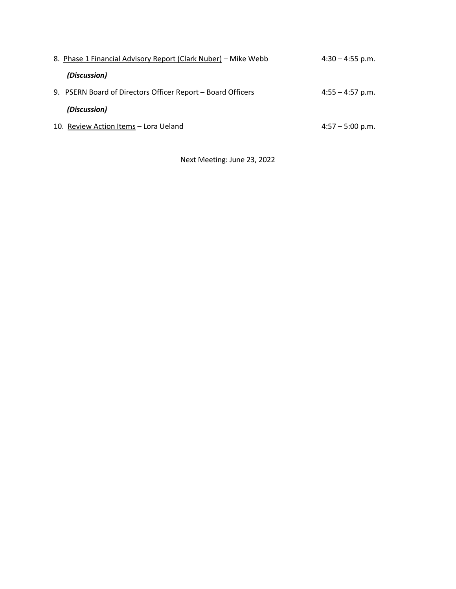| 8. Phase 1 Financial Advisory Report (Clark Nuber) – Mike Webb | $4:30 - 4:55$ p.m. |
|----------------------------------------------------------------|--------------------|
| (Discussion)                                                   |                    |
| 9. PSERN Board of Directors Officer Report – Board Officers    | $4:55 - 4:57$ p.m. |
| (Discussion)                                                   |                    |
| 10. Review Action Items - Lora Ueland                          | $4:57 - 5:00$ p.m. |

Next Meeting: June 23, 2022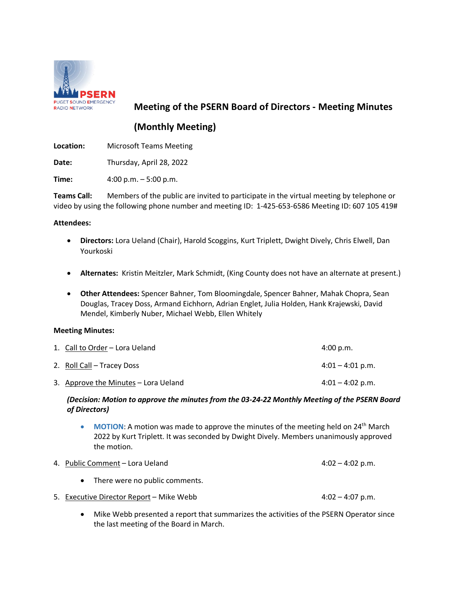

## **Meeting of the PSERN Board of Directors - Meeting Minutes**

## **(Monthly Meeting)**

**Location:** Microsoft Teams Meeting

**Date:** Thursday, April 28, 2022

**Time:** 4:00 p.m. – 5:00 p.m.

**Teams Call:** Members of the public are invited to participate in the virtual meeting by telephone or video by using the following phone number and meeting ID: 1-425-653-6586 Meeting ID: 607 105 419#

## **Attendees:**

- **Directors:** Lora Ueland (Chair), Harold Scoggins, Kurt Triplett, Dwight Dively, Chris Elwell, Dan Yourkoski
- **Alternates:** Kristin Meitzler, Mark Schmidt, (King County does not have an alternate at present.)
- **Other Attendees:** Spencer Bahner, Tom Bloomingdale, Spencer Bahner, Mahak Chopra, Sean Douglas, Tracey Doss, Armand Eichhorn, Adrian Englet, Julia Holden, Hank Krajewski, David Mendel, Kimberly Nuber, Michael Webb, Ellen Whitely

## **Meeting Minutes:**

| 1. Call to Order – Lora Ueland       | 4:00 p.m.                  |
|--------------------------------------|----------------------------|
| 2. Roll Call – Tracey Doss           | $4:01 - 4:01 \text{ p.m.}$ |
| 3. Approve the Minutes – Lora Ueland | $4:01 - 4:02$ p.m.         |

## *(Decision: Motion to approve the minutes from the 03-24-22 Monthly Meeting of the PSERN Board of Directors)*

• **MOTION:** A motion was made to approve the minutes of the meeting held on 24<sup>th</sup> March 2022 by Kurt Triplett. It was seconded by Dwight Dively. Members unanimously approved the motion.

|           | 4. Public Comment – Lora Ueland          |                    |  |  |  |  |
|-----------|------------------------------------------|--------------------|--|--|--|--|
| $\bullet$ | There were no public comments.           |                    |  |  |  |  |
|           | 5. Executive Director Report - Mike Webb | $4:02 - 4:07$ p.m. |  |  |  |  |

• Mike Webb presented a report that summarizes the activities of the PSERN Operator since the last meeting of the Board in March.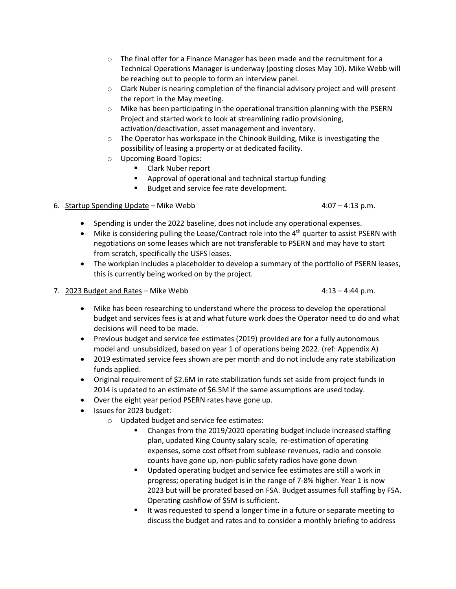- $\circ$  The final offer for a Finance Manager has been made and the recruitment for a Technical Operations Manager is underway (posting closes May 10). Mike Webb will be reaching out to people to form an interview panel.
- o Clark Nuber is nearing completion of the financial advisory project and will present the report in the May meeting.
- $\circ$  Mike has been participating in the operational transition planning with the PSERN Project and started work to look at streamlining radio provisioning, activation/deactivation, asset management and inventory.
- o The Operator has workspace in the Chinook Building, Mike is investigating the possibility of leasing a property or at dedicated facility.
- o Upcoming Board Topics:
	- **E** Clark Nuber report
	- Approval of operational and technical startup funding
	- **Budget and service fee rate development.**

## 6. Startup Spending Update – Mike Webb 4:07 – 4:13 p.m.

- Spending is under the 2022 baseline, does not include any operational expenses.
- Mike is considering pulling the Lease/Contract role into the  $4<sup>th</sup>$  quarter to assist PSERN with negotiations on some leases which are not transferable to PSERN and may have to start from scratch, specifically the USFS leases.
- The workplan includes a placeholder to develop a summary of the portfolio of PSERN leases, this is currently being worked on by the project.
- 7. 2023 Budget and Rates Mike Webb 4:13 4:44 p.m.

- Mike has been researching to understand where the process to develop the operational budget and services fees is at and what future work does the Operator need to do and what decisions will need to be made.
- Previous budget and service fee estimates (2019) provided are for a fully autonomous model and unsubsidized, based on year 1 of operations being 2022. (ref: Appendix A)
- 2019 estimated service fees shown are per month and do not include any rate stabilization funds applied.
- Original requirement of \$2.6M in rate stabilization funds set aside from project funds in 2014 is updated to an estimate of \$6.5M if the same assumptions are used today.
- Over the eight year period PSERN rates have gone up.
- Issues for 2023 budget:
	- o Updated budget and service fee estimates:
		- Changes from the 2019/2020 operating budget include increased staffing plan, updated King County salary scale, re-estimation of operating expenses, some cost offset from sublease revenues, radio and console counts have gone up, non-public safety radios have gone down
		- **Updated operating budget and service fee estimates are still a work in** progress; operating budget is in the range of 7-8% higher. Year 1 is now 2023 but will be prorated based on FSA. Budget assumes full staffing by FSA. Operating cashflow of \$5M is sufficient.
		- If was requested to spend a longer time in a future or separate meeting to discuss the budget and rates and to consider a monthly briefing to address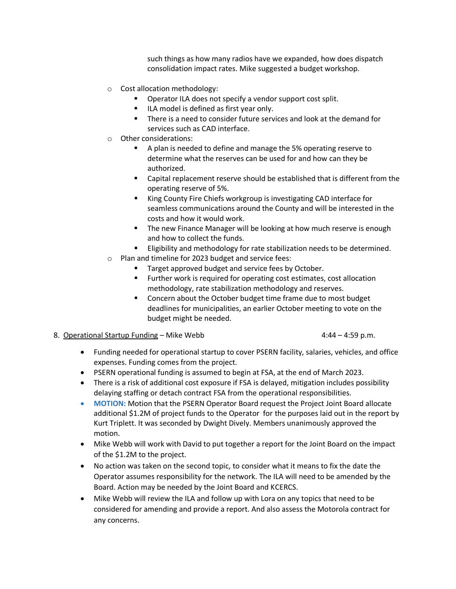such things as how many radios have we expanded, how does dispatch consolidation impact rates. Mike suggested a budget workshop.

- o Cost allocation methodology:
	- Operator ILA does not specify a vendor support cost split.
	- **ILA model is defined as first year only.**
	- **There is a need to consider future services and look at the demand for** services such as CAD interface.
- o Other considerations:
	- A plan is needed to define and manage the 5% operating reserve to determine what the reserves can be used for and how can they be authorized.
	- Capital replacement reserve should be established that is different from the operating reserve of 5%.
	- King County Fire Chiefs workgroup is investigating CAD interface for seamless communications around the County and will be interested in the costs and how it would work.
	- **The new Finance Manager will be looking at how much reserve is enough** and how to collect the funds.
	- Eligibility and methodology for rate stabilization needs to be determined.
- o Plan and timeline for 2023 budget and service fees:
	- **Target approved budget and service fees by October.**
	- **FURTHER** Further work is required for operating cost estimates, cost allocation methodology, rate stabilization methodology and reserves.
	- Concern about the October budget time frame due to most budget deadlines for municipalities, an earlier October meeting to vote on the budget might be needed.
- 8. Operational Startup Funding Mike Webb  $4:44 4:59$  p.m.

- Funding needed for operational startup to cover PSERN facility, salaries, vehicles, and office expenses. Funding comes from the project.
- PSERN operational funding is assumed to begin at FSA, at the end of March 2023.
- There is a risk of additional cost exposure if FSA is delayed, mitigation includes possibility delaying staffing or detach contract FSA from the operational responsibilities.
- **MOTION:** Motion that the PSERN Operator Board request the Project Joint Board allocate additional \$1.2M of project funds to the Operator for the purposes laid out in the report by Kurt Triplett. It was seconded by Dwight Dively. Members unanimously approved the motion.
- Mike Webb will work with David to put together a report for the Joint Board on the impact of the \$1.2M to the project.
- No action was taken on the second topic, to consider what it means to fix the date the Operator assumes responsibility for the network. The ILA will need to be amended by the Board. Action may be needed by the Joint Board and KCERCS.
- Mike Webb will review the ILA and follow up with Lora on any topics that need to be considered for amending and provide a report. And also assess the Motorola contract for any concerns.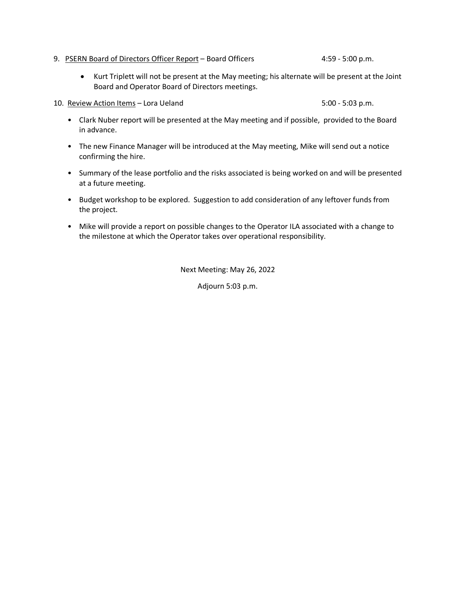9. PSERN Board of Directors Officer Report – Board Officers 4:59 - 5:00 p.m.

- Kurt Triplett will not be present at the May meeting; his alternate will be present at the Joint Board and Operator Board of Directors meetings.
- 10. Review Action Items Lora Ueland 5:00 5:00 5:03 p.m.

- Clark Nuber report will be presented at the May meeting and if possible, provided to the Board in advance.
- The new Finance Manager will be introduced at the May meeting, Mike will send out a notice confirming the hire.
- Summary of the lease portfolio and the risks associated is being worked on and will be presented at a future meeting.
- Budget workshop to be explored. Suggestion to add consideration of any leftover funds from the project.
- Mike will provide a report on possible changes to the Operator ILA associated with a change to the milestone at which the Operator takes over operational responsibility.

Next Meeting: May 26, 2022

Adjourn 5:03 p.m.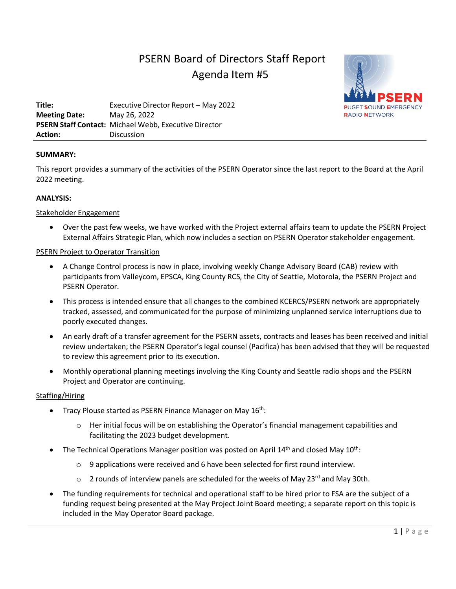# PSERN Board of Directors Staff Report Agenda Item #5



**Title:** Executive Director Report – May 2022 **Meeting Date:** May 26, 2022 **PSERN Staff Contact:** Michael Webb, Executive Director **Action:** Discussion

## **SUMMARY:**

This report provides a summary of the activities of the PSERN Operator since the last report to the Board at the April 2022 meeting.

## **ANALYSIS:**

## Stakeholder Engagement

• Over the past few weeks, we have worked with the Project external affairs team to update the PSERN Project External Affairs Strategic Plan, which now includes a section on PSERN Operator stakeholder engagement.

## PSERN Project to Operator Transition

- A Change Control process is now in place, involving weekly Change Advisory Board (CAB) review with participants from Valleycom, EPSCA, King County RCS, the City of Seattle, Motorola, the PSERN Project and PSERN Operator.
- This process is intended ensure that all changes to the combined KCERCS/PSERN network are appropriately tracked, assessed, and communicated for the purpose of minimizing unplanned service interruptions due to poorly executed changes.
- An early draft of a transfer agreement for the PSERN assets, contracts and leases has been received and initial review undertaken; the PSERN Operator's legal counsel (Pacifica) has been advised that they will be requested to review this agreement prior to its execution.
- Monthly operational planning meetings involving the King County and Seattle radio shops and the PSERN Project and Operator are continuing.

## Staffing/Hiring

- Tracy Plouse started as PSERN Finance Manager on May  $16^{th}$ :
	- o Her initial focus will be on establishing the Operator's financial management capabilities and facilitating the 2023 budget development.
- The Technical Operations Manager position was posted on April  $14<sup>th</sup>$  and closed May  $10<sup>th</sup>$ :
	- $\circ$  9 applications were received and 6 have been selected for first round interview.
	- o 2 rounds of interview panels are scheduled for the weeks of May 23<sup>rd</sup> and May 30th.
- The funding requirements for technical and operational staff to be hired prior to FSA are the subject of a funding request being presented at the May Project Joint Board meeting; a separate report on this topic is included in the May Operator Board package.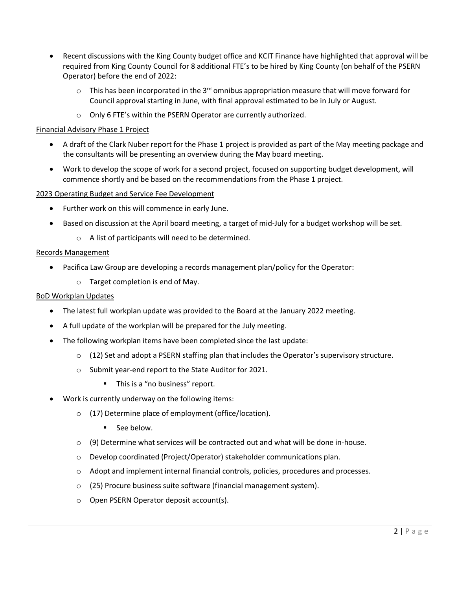- Recent discussions with the King County budget office and KCIT Finance have highlighted that approval will be required from King County Council for 8 additional FTE's to be hired by King County (on behalf of the PSERN Operator) before the end of 2022:
	- $\circ$  This has been incorporated in the 3<sup>rd</sup> omnibus appropriation measure that will move forward for Council approval starting in June, with final approval estimated to be in July or August.
	- o Only 6 FTE's within the PSERN Operator are currently authorized.

## Financial Advisory Phase 1 Project

- A draft of the Clark Nuber report for the Phase 1 project is provided as part of the May meeting package and the consultants will be presenting an overview during the May board meeting.
- Work to develop the scope of work for a second project, focused on supporting budget development, will commence shortly and be based on the recommendations from the Phase 1 project.

## 2023 Operating Budget and Service Fee Development

- Further work on this will commence in early June.
- Based on discussion at the April board meeting, a target of mid-July for a budget workshop will be set.
	- o A list of participants will need to be determined.

## Records Management

- Pacifica Law Group are developing a records management plan/policy for the Operator:
	- o Target completion is end of May.

## BoD Workplan Updates

- The latest full workplan update was provided to the Board at the January 2022 meeting.
- A full update of the workplan will be prepared for the July meeting.
- The following workplan items have been completed since the last update:
	- $\circ$  (12) Set and adopt a PSERN staffing plan that includes the Operator's supervisory structure.
	- o Submit year-end report to the State Auditor for 2021.
		- This is a "no business" report.
- Work is currently underway on the following items:
	- o (17) Determine place of employment (office/location).
		- See below.
	- $\circ$  (9) Determine what services will be contracted out and what will be done in-house.
	- o Develop coordinated (Project/Operator) stakeholder communications plan.
	- o Adopt and implement internal financial controls, policies, procedures and processes.
	- o (25) Procure business suite software (financial management system).
	- o Open PSERN Operator deposit account(s).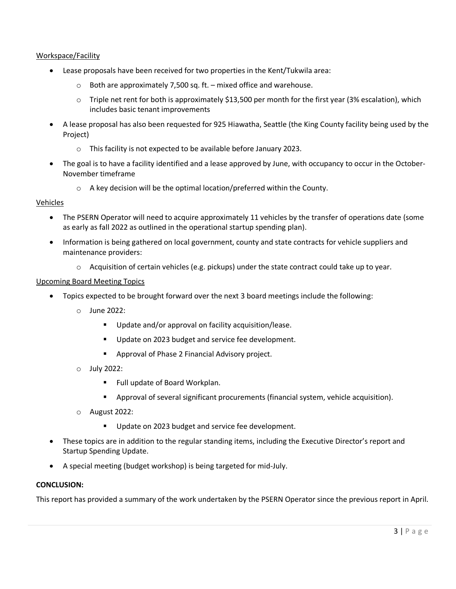## Workspace/Facility

- Lease proposals have been received for two properties in the Kent/Tukwila area:
	- $\circ$  Both are approximately 7,500 sq. ft. mixed office and warehouse.
	- $\circ$  Triple net rent for both is approximately \$13,500 per month for the first year (3% escalation), which includes basic tenant improvements
- A lease proposal has also been requested for 925 Hiawatha, Seattle (the King County facility being used by the Project)
	- o This facility is not expected to be available before January 2023.
- The goal is to have a facility identified and a lease approved by June, with occupancy to occur in the October-November timeframe
	- o A key decision will be the optimal location/preferred within the County.

## Vehicles

- The PSERN Operator will need to acquire approximately 11 vehicles by the transfer of operations date (some as early as fall 2022 as outlined in the operational startup spending plan).
- Information is being gathered on local government, county and state contracts for vehicle suppliers and maintenance providers:
	- $\circ$  Acquisition of certain vehicles (e.g. pickups) under the state contract could take up to year.

## Upcoming Board Meeting Topics

- Topics expected to be brought forward over the next 3 board meetings include the following:
	- o June 2022:
		- **Update and/or approval on facility acquisition/lease.**
		- Update on 2023 budget and service fee development.
		- **Approval of Phase 2 Financial Advisory project.**
	- o July 2022:
		- **Full update of Board Workplan.**
		- Approval of several significant procurements (financial system, vehicle acquisition).
	- o August 2022:
		- Update on 2023 budget and service fee development.
- These topics are in addition to the regular standing items, including the Executive Director's report and Startup Spending Update.
- A special meeting (budget workshop) is being targeted for mid-July.

## **CONCLUSION:**

This report has provided a summary of the work undertaken by the PSERN Operator since the previous report in April.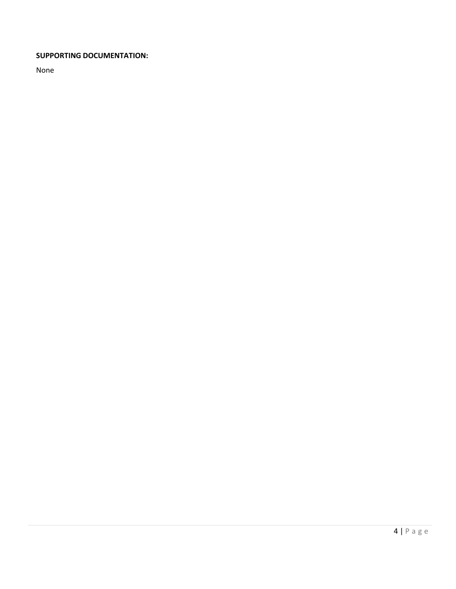## **SUPPORTING DOCUMENTATION:**

None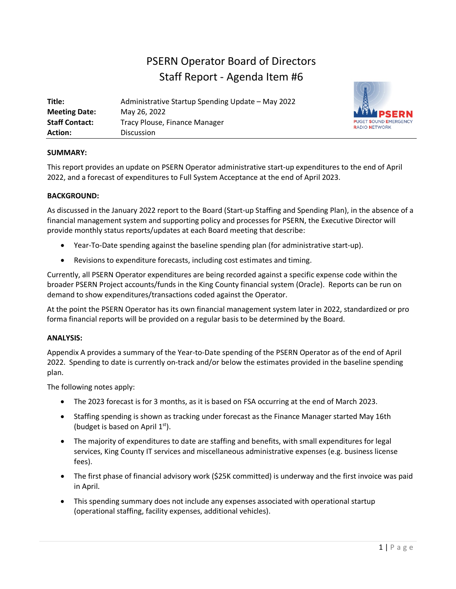# PSERN Operator Board of Directors Staff Report - Agenda Item #6

| Title:                | Administrative Startup Spending Update – May 2022 |
|-----------------------|---------------------------------------------------|
| <b>Meeting Date:</b>  | May 26, 2022                                      |
| <b>Staff Contact:</b> | Tracy Plouse, Finance Manager                     |
| <b>Action:</b>        | <b>Discussion</b>                                 |



## **SUMMARY:**

This report provides an update on PSERN Operator administrative start-up expenditures to the end of April 2022, and a forecast of expenditures to Full System Acceptance at the end of April 2023.

## **BACKGROUND:**

As discussed in the January 2022 report to the Board (Start-up Staffing and Spending Plan), in the absence of a financial management system and supporting policy and processes for PSERN, the Executive Director will provide monthly status reports/updates at each Board meeting that describe:

- Year-To-Date spending against the baseline spending plan (for administrative start-up).
- Revisions to expenditure forecasts, including cost estimates and timing.

Currently, all PSERN Operator expenditures are being recorded against a specific expense code within the broader PSERN Project accounts/funds in the King County financial system (Oracle). Reports can be run on demand to show expenditures/transactions coded against the Operator.

At the point the PSERN Operator has its own financial management system later in 2022, standardized or pro forma financial reports will be provided on a regular basis to be determined by the Board.

## **ANALYSIS:**

Appendix A provides a summary of the Year-to-Date spending of the PSERN Operator as of the end of April 2022. Spending to date is currently on-track and/or below the estimates provided in the baseline spending plan.

The following notes apply:

- The 2023 forecast is for 3 months, as it is based on FSA occurring at the end of March 2023.
- Staffing spending is shown as tracking under forecast as the Finance Manager started May 16th (budget is based on April  $1<sup>st</sup>$ ).
- The majority of expenditures to date are staffing and benefits, with small expenditures for legal services, King County IT services and miscellaneous administrative expenses (e.g. business license fees).
- The first phase of financial advisory work (\$25K committed) is underway and the first invoice was paid in April.
- This spending summary does not include any expenses associated with operational startup (operational staffing, facility expenses, additional vehicles).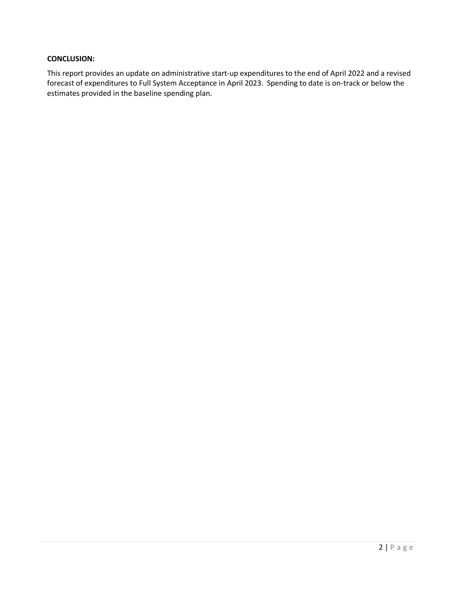## **CONCLUSION:**

This report provides an update on administrative start-up expenditures to the end of April 2022 and a revised forecast of expenditures to Full System Acceptance in April 2023. Spending to date is on-track or below the estimates provided in the baseline spending plan.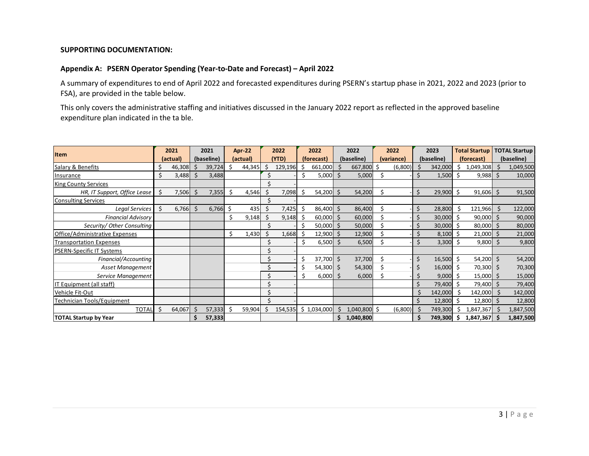## **SUPPORTING DOCUMENTATION:**

## **Appendix A: PSERN Operator Spending (Year-to-Date and Forecast) – April 2022**

A summary of expenditures to end of April 2022 and forecasted expenditures during PSERN's startup phase in 2021, 2022 and 2023 (prior to FSA), are provided in the table below.

This only covers the administrative staffing and initiatives discussed in the January 2022 report as reflected in the approved baseline expenditure plan indicated in the ta ble.

| <b>Item</b>                      |     | 2021     |    | 2021                   |    | Apr-22 |       | 2022    |            | 2022        |            | 2022         |            | 2022    |            | 2023<br><b>Total Startup</b> |            | <b>TOTAL Startup</b> |            |           |
|----------------------------------|-----|----------|----|------------------------|----|--------|-------|---------|------------|-------------|------------|--------------|------------|---------|------------|------------------------------|------------|----------------------|------------|-----------|
|                                  |     | (actual) |    | (baseline)<br>(actual) |    |        | (YTD) |         | (forecast) |             | (baseline) |              | (variance) |         | (baseline) |                              | (forecast) |                      | (baseline) |           |
| Salary & Benefits                | Ś   | 46,308   |    | 39,724                 | Ŝ. | 44,345 | Ś     | 129,196 |            | 661,000     | .S         | 667,800      | Ś.         | (6,800) |            | 342,000                      | S          | 1,049,308            |            | 1,049,500 |
| Insurance                        | Ś   | 3,488    | Ś  | 3,488                  |    |        |       |         | Ś          | 5,000       | Ŝ.         | 5,000        |            |         | Ś          | 1,500                        | Ŝ.         | 9,988                |            | 10,000    |
| <b>King County Services</b>      |     |          |    |                        |    |        |       |         |            |             |            |              |            |         |            |                              |            |                      |            |           |
| HR, IT Support, Office Lease     | -\$ | 7,506    | Ś  | 7,355                  | Ŝ. | 4,546  | Ś     | 7,098   | .\$        | 54,200      | Ŝ.         | 54,200       | Ś.         |         | \$         | 29,900                       | . Ś        | 91,606               | \$         | 91,500    |
| <b>Consulting Services</b>       |     |          |    |                        |    |        |       |         |            |             |            |              |            |         |            |                              |            |                      |            |           |
| Legal Services                   | Ś.  | 6,766    | Ś. | 6,766                  | \$ | 435    | Ś     | 7,425   |            | 86,400      | . Ś        | 86,400       | Ś.         |         | \$         | 28,800                       |            | 121,966              | Ŝ.         | 122,000   |
| <b>Financial Advisory</b>        |     |          |    |                        | Ś  | 9,148  | \$    | 9,148   |            | 60,000      | Š.         | 60,000       |            |         | \$         | 30,000 \$                    |            | $90,000$ \$          |            | 90,000    |
| Security/ Other Consulting       |     |          |    |                        |    |        |       |         |            | 50,000      | .S         | 50,000       |            |         | \$         | 30,000                       |            | 80,000               | -S         | 80,000    |
| Office/Administrative Expenses   |     |          |    |                        | \$ | 1,430  | Ś     | 1,668   |            | 12,900      | Ś          | 12,900       |            |         | $\zeta$    | 8,100                        |            | 21,000               |            | 21,000    |
| <b>Transportation Expenses</b>   |     |          |    |                        |    |        |       |         | Ś          | $6,500$ \$  |            | 6,500        |            |         | Ś.         | 3,300                        |            | 9,800                |            | 9,800     |
| <b>PSERN-Specific IT Systems</b> |     |          |    |                        |    |        |       |         |            |             |            |              |            |         |            |                              |            |                      |            |           |
| Financial/Accounting             |     |          |    |                        |    |        |       |         | Ś.         | 37,700      | Ŝ.         | 37,700       | Ś          |         | \$         | 16,500                       | .S         | $54,200$ \$          |            | 54,200    |
| Asset Management                 |     |          |    |                        |    |        |       |         |            | 54,300 \$   |            | 54,300       |            |         |            | $16,000$ \$                  |            | 70,300 \$            |            | 70,300    |
| Service Management               |     |          |    |                        |    |        |       |         |            | 6,000       | -S         | 6,000        |            |         |            | $9,000$ \$                   |            | $15,000$ \$          |            | 15,000    |
| IT Equipment (all staff)         |     |          |    |                        |    |        |       |         |            |             |            |              |            |         | \$         | 79,400                       |            | 79,400               |            | 79,400    |
| Vehicle Fit-Out                  |     |          |    |                        |    |        |       |         |            |             |            |              |            |         | \$         | 142,000                      |            | 142,000              | Ŝ.         | 142,000   |
| Technician Tools/Equipment       |     |          |    |                        |    |        |       |         |            |             |            |              |            |         | \$         | 12,800                       |            | $12,800$ \$          |            | 12,800    |
| <b>TOTAL</b>                     | Ś.  | 64,067   | Ś  | 57,333                 | \$ | 59,904 | Ś     | 154,535 |            | \$1,034,000 | Ŝ.         | 1,040,800 \$ |            | (6,800) |            | 749,300                      |            | 1,847,367            |            | 1,847,500 |
| <b>TOTAL Startup by Year</b>     |     |          |    | 57,333                 |    |        |       |         |            |             | S.         | 1,040,800    |            |         |            | 749,300                      | S          | 1,847,367            |            | 1,847,500 |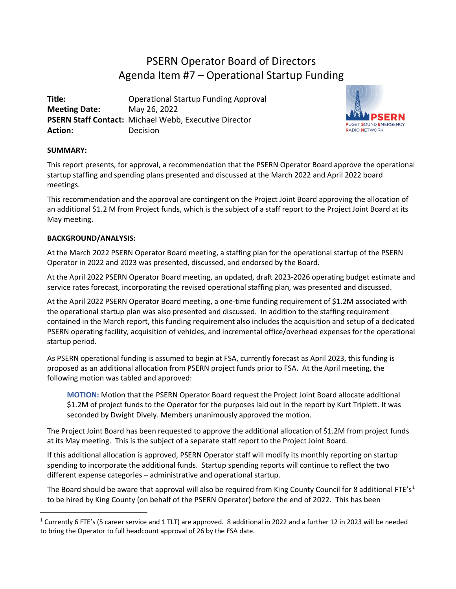# PSERN Operator Board of Directors Agenda Item #7 – Operational Startup Funding

| Title:               | <b>Operational Startup Funding Approval</b>                  |
|----------------------|--------------------------------------------------------------|
| <b>Meeting Date:</b> | May 26, 2022                                                 |
|                      | <b>PSERN Staff Contact: Michael Webb, Executive Director</b> |
| <b>Action:</b>       | Decision                                                     |



## **SUMMARY:**

This report presents, for approval, a recommendation that the PSERN Operator Board approve the operational startup staffing and spending plans presented and discussed at the March 2022 and April 2022 board meetings.

This recommendation and the approval are contingent on the Project Joint Board approving the allocation of an additional \$1.2 M from Project funds, which is the subject of a staff report to the Project Joint Board at its May meeting.

## **BACKGROUND/ANALYSIS:**

At the March 2022 PSERN Operator Board meeting, a staffing plan for the operational startup of the PSERN Operator in 2022 and 2023 was presented, discussed, and endorsed by the Board.

At the April 2022 PSERN Operator Board meeting, an updated, draft 2023-2026 operating budget estimate and service rates forecast, incorporating the revised operational staffing plan, was presented and discussed.

At the April 2022 PSERN Operator Board meeting, a one-time funding requirement of \$1.2M associated with the operational startup plan was also presented and discussed. In addition to the staffing requirement contained in the March report, this funding requirement also includes the acquisition and setup of a dedicated PSERN operating facility, acquisition of vehicles, and incremental office/overhead expenses for the operational startup period.

As PSERN operational funding is assumed to begin at FSA, currently forecast as April 2023, this funding is proposed as an additional allocation from PSERN project funds prior to FSA. At the April meeting, the following motion was tabled and approved:

**MOTION:** Motion that the PSERN Operator Board request the Project Joint Board allocate additional \$1.2M of project funds to the Operator for the purposes laid out in the report by Kurt Triplett. It was seconded by Dwight Dively. Members unanimously approved the motion.

The Project Joint Board has been requested to approve the additional allocation of \$1.2M from project funds at its May meeting. This is the subject of a separate staff report to the Project Joint Board.

If this additional allocation is approved, PSERN Operator staff will modify its monthly reporting on startup spending to incorporate the additional funds. Startup spending reports will continue to reflect the two different expense categories – administrative and operational startup.

The Board should be aware that approval will also be required from King County Council for 8 additional FTE's<sup>[1](#page-13-0)</sup> to be hired by King County (on behalf of the PSERN Operator) before the end of 2022. This has been

<span id="page-13-0"></span> $1$  Currently 6 FTE's (5 career service and 1 TLT) are approved. 8 additional in 2022 and a further 12 in 2023 will be needed to bring the Operator to full headcount approval of 26 by the FSA date.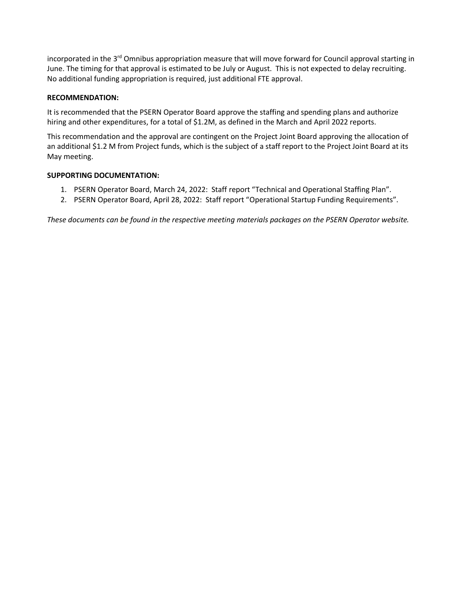incorporated in the 3<sup>rd</sup> Omnibus appropriation measure that will move forward for Council approval starting in June. The timing for that approval is estimated to be July or August. This is not expected to delay recruiting. No additional funding appropriation is required, just additional FTE approval.

## **RECOMMENDATION:**

It is recommended that the PSERN Operator Board approve the staffing and spending plans and authorize hiring and other expenditures, for a total of \$1.2M, as defined in the March and April 2022 reports.

This recommendation and the approval are contingent on the Project Joint Board approving the allocation of an additional \$1.2 M from Project funds, which is the subject of a staff report to the Project Joint Board at its May meeting.

## **SUPPORTING DOCUMENTATION:**

- 1. PSERN Operator Board, March 24, 2022: Staff report "Technical and Operational Staffing Plan".
- 2. PSERN Operator Board, April 28, 2022: Staff report "Operational Startup Funding Requirements".

*These documents can be found in the respective meeting materials packages on the PSERN Operator website.*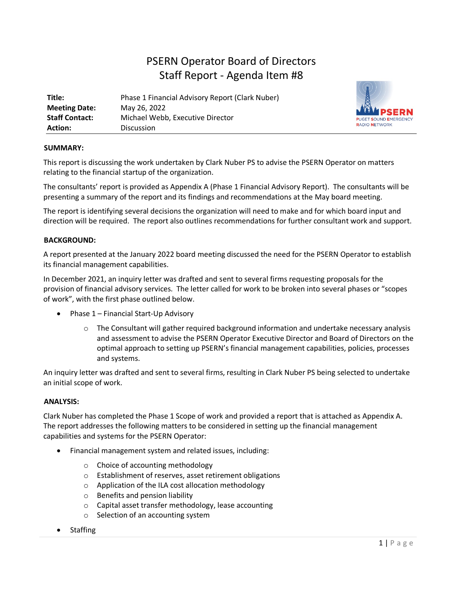# PSERN Operator Board of Directors Staff Report - Agenda Item #8

| Title:                | Phase 1 Financial Advisory Report (Clark Nuber) |
|-----------------------|-------------------------------------------------|
| <b>Meeting Date:</b>  | May 26, 2022                                    |
| <b>Staff Contact:</b> | Michael Webb, Executive Director                |
| Action:               | Discussion                                      |



## **SUMMARY:**

This report is discussing the work undertaken by Clark Nuber PS to advise the PSERN Operator on matters relating to the financial startup of the organization.

The consultants' report is provided as Appendix A (Phase 1 Financial Advisory Report). The consultants will be presenting a summary of the report and its findings and recommendations at the May board meeting.

The report is identifying several decisions the organization will need to make and for which board input and direction will be required. The report also outlines recommendations for further consultant work and support.

## **BACKGROUND:**

A report presented at the January 2022 board meeting discussed the need for the PSERN Operator to establish its financial management capabilities.

In December 2021, an inquiry letter was drafted and sent to several firms requesting proposals for the provision of financial advisory services. The letter called for work to be broken into several phases or "scopes of work", with the first phase outlined below.

- Phase 1 Financial Start-Up Advisory
	- $\circ$  The Consultant will gather required background information and undertake necessary analysis and assessment to advise the PSERN Operator Executive Director and Board of Directors on the optimal approach to setting up PSERN's financial management capabilities, policies, processes and systems.

An inquiry letter was drafted and sent to several firms, resulting in Clark Nuber PS being selected to undertake an initial scope of work.

#### **ANALYSIS:**

Clark Nuber has completed the Phase 1 Scope of work and provided a report that is attached as Appendix A. The report addresses the following matters to be considered in setting up the financial management capabilities and systems for the PSERN Operator:

- Financial management system and related issues, including:
	- o Choice of accounting methodology
	- o Establishment of reserves, asset retirement obligations
	- o Application of the ILA cost allocation methodology
	- o Benefits and pension liability
	- o Capital asset transfer methodology, lease accounting
	- o Selection of an accounting system
- Staffing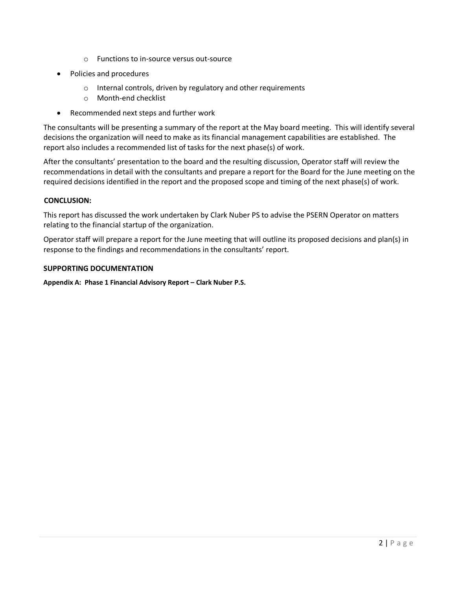- o Functions to in-source versus out-source
- Policies and procedures
	- o Internal controls, driven by regulatory and other requirements
	- o Month-end checklist
- Recommended next steps and further work

The consultants will be presenting a summary of the report at the May board meeting. This will identify several decisions the organization will need to make as its financial management capabilities are established. The report also includes a recommended list of tasks for the next phase(s) of work.

After the consultants' presentation to the board and the resulting discussion, Operator staff will review the recommendations in detail with the consultants and prepare a report for the Board for the June meeting on the required decisions identified in the report and the proposed scope and timing of the next phase(s) of work.

## **CONCLUSION:**

This report has discussed the work undertaken by Clark Nuber PS to advise the PSERN Operator on matters relating to the financial startup of the organization.

Operator staff will prepare a report for the June meeting that will outline its proposed decisions and plan(s) in response to the findings and recommendations in the consultants' report.

## **SUPPORTING DOCUMENTATION**

**Appendix A: Phase 1 Financial Advisory Report – Clark Nuber P.S.**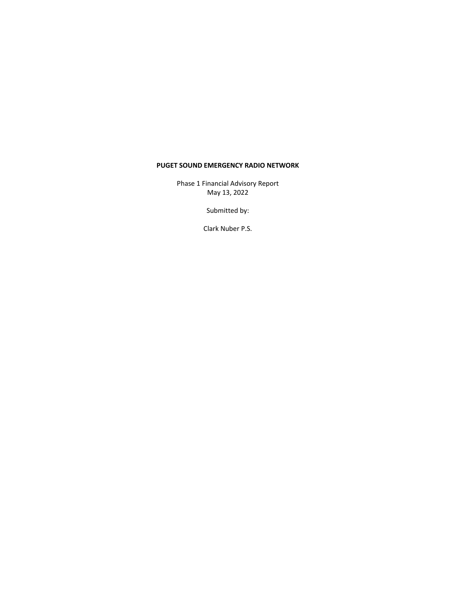Phase 1 Financial Advisory Report May 13, 2022

Submitted by:

Clark Nuber P.S.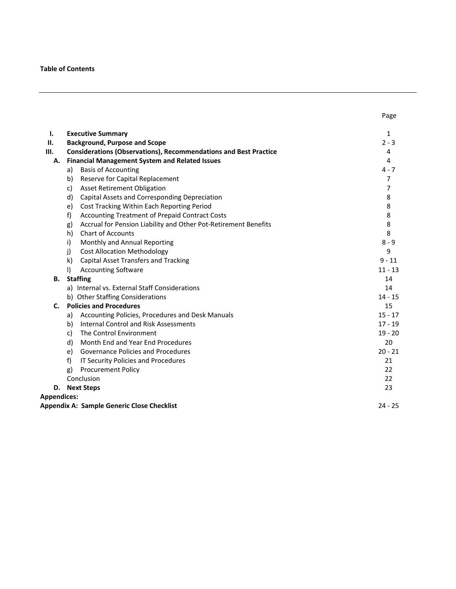#### **Table of Contents**

| <b>Executive Summary</b><br>Ι.                                                | 1              |
|-------------------------------------------------------------------------------|----------------|
| <b>Background, Purpose and Scope</b><br>П.                                    | $2 - 3$        |
| <b>Considerations (Observations), Recommendations and Best Practice</b><br>Ш. | 4              |
| <b>Financial Management System and Related Issues</b><br>А.                   | 4              |
| <b>Basis of Accounting</b><br>a)                                              | $4 - 7$        |
| Reserve for Capital Replacement<br>b)                                         | $\overline{7}$ |
| <b>Asset Retirement Obligation</b><br>c)                                      | 7              |
| d)<br>Capital Assets and Corresponding Depreciation                           | 8              |
| Cost Tracking Within Each Reporting Period<br>e)                              | 8              |
| f)<br>Accounting Treatment of Prepaid Contract Costs                          | 8              |
| Accrual for Pension Liability and Other Pot-Retirement Benefits<br>g)         | 8              |
| h)<br><b>Chart of Accounts</b>                                                | 8              |
| Monthly and Annual Reporting<br>i)                                            | $8 - 9$        |
| j)<br><b>Cost Allocation Methodology</b>                                      | 9              |
| k)<br><b>Capital Asset Transfers and Tracking</b>                             | $9 - 11$       |
| <b>Accounting Software</b><br>$\mathsf{I}$                                    | $11 - 13$      |
| <b>Staffing</b><br>В.                                                         | 14             |
| a) Internal vs. External Staff Considerations                                 | 14             |
| b) Other Staffing Considerations                                              | $14 - 15$      |
| <b>Policies and Procedures</b><br>C.                                          | 15             |
| Accounting Policies, Procedures and Desk Manuals<br>a)                        | $15 - 17$      |
| <b>Internal Control and Risk Assessments</b><br>b)                            | $17 - 19$      |
| The Control Environment<br>c)                                                 | $19 - 20$      |
| Month End and Year End Procedures<br>d)                                       | 20             |
| <b>Governance Policies and Procedures</b><br>e)                               | $20 - 21$      |
| f)<br>IT Security Policies and Procedures                                     | 21             |
| <b>Procurement Policy</b><br>g)                                               | 22             |
| Conclusion                                                                    | 22             |
| <b>Next Steps</b><br>D.                                                       | 23             |
| <b>Appendices:</b>                                                            |                |
| Appendix A: Sample Generic Close Checklist                                    | $24 - 25$      |

Page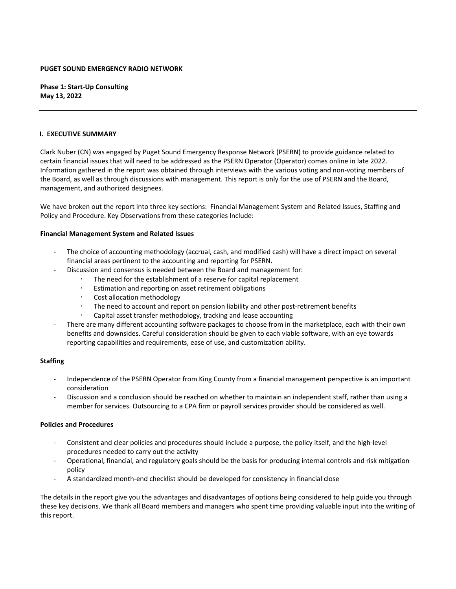**Phase 1: Start‐Up Consulting May 13, 2022**

#### **I. EXECUTIVE SUMMARY**

Clark Nuber (CN) was engaged by Puget Sound Emergency Response Network (PSERN) to provide guidance related to certain financial issues that will need to be addressed as the PSERN Operator (Operator) comes online in late 2022. Information gathered in the report was obtained through interviews with the various voting and non‐voting members of the Board, as well as through discussions with management. This report is only for the use of PSERN and the Board, management, and authorized designees.

We have broken out the report into three key sections: Financial Management System and Related Issues, Staffing and Policy and Procedure. Key Observations from these categories Include:

#### **Financial Management System and Related Issues**

- The choice of accounting methodology (accrual, cash, and modified cash) will have a direct impact on several financial areas pertinent to the accounting and reporting for PSERN.
	- ‐ Discussion and consensus is needed between the Board and management for:
		- The need for the establishment of a reserve for capital replacement
			- Estimation and reporting on asset retirement obligations
			- Cost allocation methodology
			- The need to account and report on pension liability and other post‐retirement benefits
			- Capital asset transfer methodology, tracking and lease accounting
- There are many different accounting software packages to choose from in the marketplace, each with their own benefits and downsides. Careful consideration should be given to each viable software, with an eye towards reporting capabilities and requirements, ease of use, and customization ability.

#### **Staffing**

- ‐ Independence of the PSERN Operator from King County from a financial management perspective is an important consideration
- ‐ Discussion and a conclusion should be reached on whether to maintain an independent staff, rather than using a member for services. Outsourcing to a CPA firm or payroll services provider should be considered as well.

#### **Policies and Procedures**

- ‐ Consistent and clear policies and procedures should include a purpose, the policy itself, and the high‐level procedures needed to carry out the activity
- ‐ Operational, financial, and regulatory goals should be the basis for producing internal controls and risk mitigation policy
- ‐ A standardized month‐end checklist should be developed for consistency in financial close

The details in the report give you the advantages and disadvantages of options being considered to help guide you through these key decisions. We thank all Board members and managers who spent time providing valuable input into the writing of this report.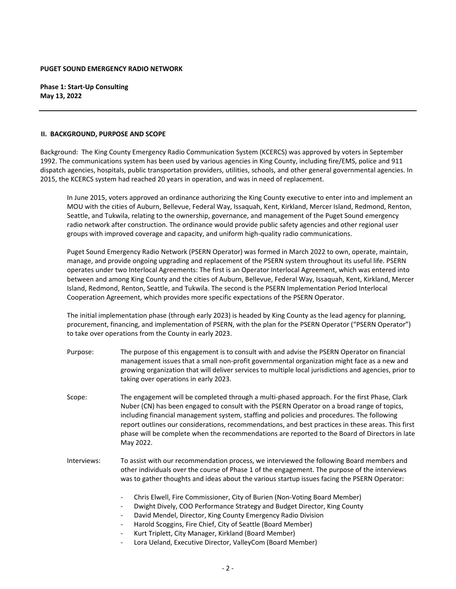**Phase 1: Start‐Up Consulting May 13, 2022**

#### **II. BACKGROUND, PURPOSE AND SCOPE**

Background: The King County Emergency Radio Communication System (KCERCS) was approved by voters in September 1992. The communications system has been used by various agencies in King County, including fire/EMS, police and 911 dispatch agencies, hospitals, public transportation providers, utilities, schools, and other general governmental agencies. In 2015, the KCERCS system had reached 20 years in operation, and was in need of replacement.

In June 2015, voters approved an ordinance authorizing the King County executive to enter into and implement an MOU with the cities of Auburn, Bellevue, Federal Way, Issaquah, Kent, Kirkland, Mercer Island, Redmond, Renton, Seattle, and Tukwila, relating to the ownership, governance, and management of the Puget Sound emergency radio network after construction. The ordinance would provide public safety agencies and other regional user groups with improved coverage and capacity, and uniform high‐quality radio communications.

Puget Sound Emergency Radio Network (PSERN Operator) was formed in March 2022 to own, operate, maintain, manage, and provide ongoing upgrading and replacement of the PSERN system throughout its useful life. PSERN operates under two Interlocal Agreements: The first is an Operator Interlocal Agreement, which was entered into between and among King County and the cities of Auburn, Bellevue, Federal Way, Issaquah, Kent, Kirkland, Mercer Island, Redmond, Renton, Seattle, and Tukwila. The second is the PSERN Implementation Period Interlocal Cooperation Agreement, which provides more specific expectations of the PSERN Operator.

The initial implementation phase (through early 2023) is headed by King County as the lead agency for planning, procurement, financing, and implementation of PSERN, with the plan for the PSERN Operator ("PSERN Operator") to take over operations from the County in early 2023.

- Purpose: The purpose of this engagement is to consult with and advise the PSERN Operator on financial management issues that a small non‐profit governmental organization might face as a new and growing organization that will deliver services to multiple local jurisdictions and agencies, prior to taking over operations in early 2023.
- Scope: The engagement will be completed through a multi-phased approach. For the first Phase, Clark Nuber (CN) has been engaged to consult with the PSERN Operator on a broad range of topics, including financial management system, staffing and policies and procedures. The following report outlines our considerations, recommendations, and best practices in these areas. This first phase will be complete when the recommendations are reported to the Board of Directors in late May 2022.
- Interviews: To assist with our recommendation process, we interviewed the following Board members and other individuals over the course of Phase 1 of the engagement. The purpose of the interviews was to gather thoughts and ideas about the various startup issues facing the PSERN Operator:
	- ‐ Chris Elwell, Fire Commissioner, City of Burien (Non‐Voting Board Member)
	- ‐ Dwight Dively, COO Performance Strategy and Budget Director, King County
	- ‐ David Mendel, Director, King County Emergency Radio Division
	- ‐ Harold Scoggins, Fire Chief, City of Seattle (Board Member)
	- ‐ Kurt Triplett, City Manager, Kirkland (Board Member)
	- ‐ Lora Ueland, Executive Director, ValleyCom (Board Member)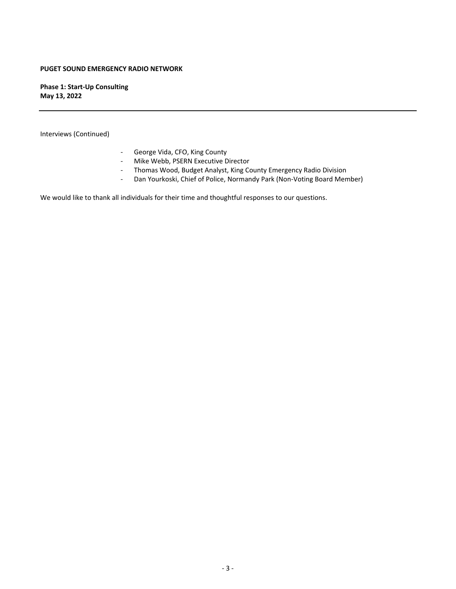**Phase 1: Start‐Up Consulting May 13, 2022**

Interviews (Continued)

- ‐ George Vida, CFO, King County
- ‐ Mike Webb, PSERN Executive Director
- ‐ Thomas Wood, Budget Analyst, King County Emergency Radio Division
- ‐ Dan Yourkoski, Chief of Police, Normandy Park (Non‐Voting Board Member)

We would like to thank all individuals for their time and thoughtful responses to our questions.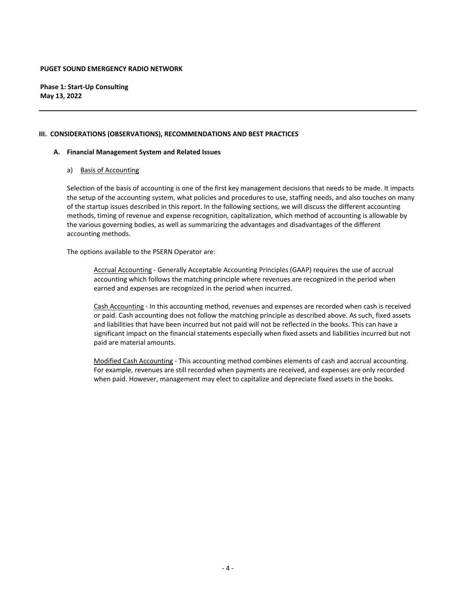**Phase 1: Start‐Up Consulting May 13, 2022**

#### **III. CONSIDERATIONS (OBSERVATIONS), RECOMMENDATIONS AND BEST PRACTICES**

#### **A. Financial Management System and Related Issues**

#### a) Basis of Accounting

Selection of the basis of accounting is one of the first key management decisions that needs to be made. It impacts the setup of the accounting system, what policies and procedures to use, staffing needs, and also touches on many of the startup issues described in this report. In the following sections, we will discuss the different accounting methods, timing of revenue and expense recognition, capitalization, which method of accounting is allowable by the various governing bodies, as well as summarizing the advantages and disadvantages of the different accounting methods.

The options available to the PSERN Operator are:

Accrual Accounting ‐ Generally Acceptable Accounting Principles (GAAP) requires the use of accrual accounting which follows the matching principle where revenues are recognized in the period when earned and expenses are recognized in the period when incurred.

Cash Accounting ‐ In this accounting method, revenues and expenses are recorded when cash is received or paid. Cash accounting does not follow the matching principle as described above. As such, fixed assets and liabilities that have been incurred but not paid will not be reflected in the books. This can have a significant impact on the financial statements especially when fixed assets and liabilities incurred but not paid are material amounts.

Modified Cash Accounting ‐ This accounting method combines elements of cash and accrual accounting. For example, revenues are still recorded when payments are received, and expenses are only recorded when paid. However, management may elect to capitalize and depreciate fixed assets in the books.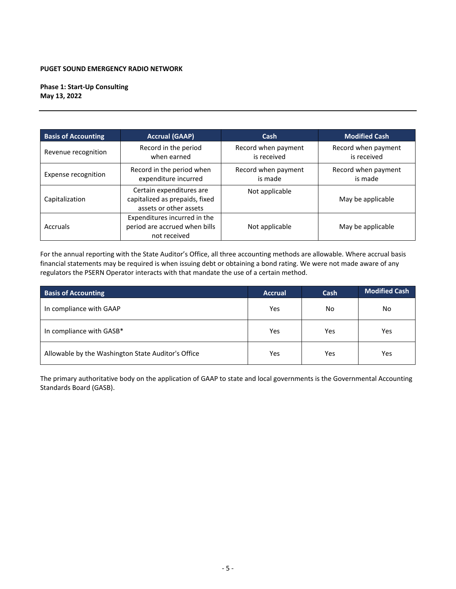**Phase 1: Start‐Up Consulting May 13, 2022**

| <b>Basis of Accounting</b> | <b>Accrual (GAAP)</b>                                                                | Cash                               | <b>Modified Cash</b>               |  |
|----------------------------|--------------------------------------------------------------------------------------|------------------------------------|------------------------------------|--|
| Revenue recognition        | Record in the period<br>when earned                                                  | Record when payment<br>is received | Record when payment<br>is received |  |
| Expense recognition        | Record in the period when<br>expenditure incurred                                    | Record when payment<br>is made     | Record when payment<br>is made     |  |
| Capitalization             | Certain expenditures are<br>capitalized as prepaids, fixed<br>assets or other assets | Not applicable                     | May be applicable                  |  |
| Accruals                   | Expenditures incurred in the<br>period are accrued when bills<br>not received        | Not applicable                     | May be applicable                  |  |

For the annual reporting with the State Auditor's Office, all three accounting methods are allowable. Where accrual basis financial statements may be required is when issuing debt or obtaining a bond rating. We were not made aware of any regulators the PSERN Operator interacts with that mandate the use of a certain method.

| <b>Basis of Accounting</b>                         | <b>Accrual</b> | <b>Cash</b> | <b>Modified Cash</b> |
|----------------------------------------------------|----------------|-------------|----------------------|
| In compliance with GAAP                            | Yes            | No          | No                   |
| In compliance with GASB*                           | Yes            | Yes         | Yes                  |
| Allowable by the Washington State Auditor's Office | Yes            | Yes         | Yes                  |

The primary authoritative body on the application of GAAP to state and local governments is the Governmental Accounting Standards Board (GASB).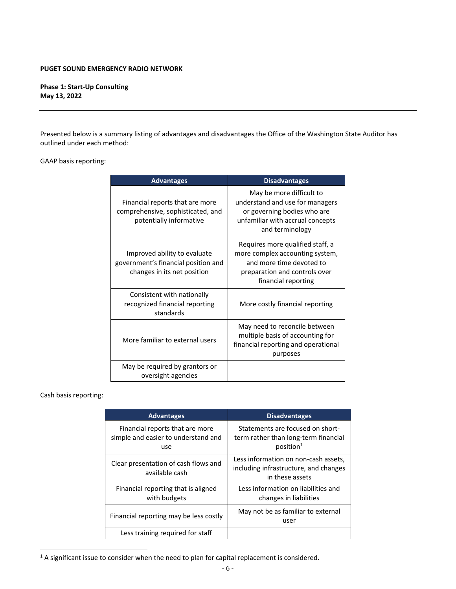**Phase 1: Start‐Up Consulting May 13, 2022**

Presented below is a summary listing of advantages and disadvantages the Office of the Washington State Auditor has outlined under each method:

#### GAAP basis reporting:

| <b>Advantages</b>                                                                                  | <b>Disadvantages</b>                                                                                                                                    |
|----------------------------------------------------------------------------------------------------|---------------------------------------------------------------------------------------------------------------------------------------------------------|
| Financial reports that are more<br>comprehensive, sophisticated, and<br>potentially informative    | May be more difficult to<br>understand and use for managers<br>or governing bodies who are<br>unfamiliar with accrual concepts<br>and terminology       |
| Improved ability to evaluate<br>government's financial position and<br>changes in its net position | Requires more qualified staff, a<br>more complex accounting system,<br>and more time devoted to<br>preparation and controls over<br>financial reporting |
| Consistent with nationally<br>recognized financial reporting<br>standards                          | More costly financial reporting                                                                                                                         |
| More familiar to external users                                                                    | May need to reconcile between<br>multiple basis of accounting for<br>financial reporting and operational<br>purposes                                    |
| May be required by grantors or<br>oversight agencies                                               |                                                                                                                                                         |

#### Cash basis reporting:

| <b>Advantages</b>                                                             | <b>Disadvantages</b>                                                                              |
|-------------------------------------------------------------------------------|---------------------------------------------------------------------------------------------------|
| Financial reports that are more<br>simple and easier to understand and<br>use | Statements are focused on short-<br>term rather than long-term financial<br>position <sup>1</sup> |
| Clear presentation of cash flows and<br>available cash                        | Less information on non-cash assets,<br>including infrastructure, and changes<br>in these assets  |
| Financial reporting that is aligned<br>with budgets                           | Less information on liabilities and<br>changes in liabilities                                     |
| Financial reporting may be less costly                                        | May not be as familiar to external<br>user                                                        |
| Less training required for staff                                              |                                                                                                   |

<sup>&</sup>lt;sup>1</sup> A significant issue to consider when the need to plan for capital replacement is considered.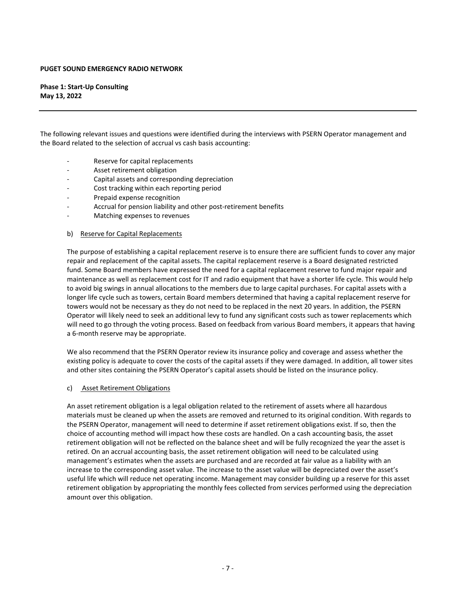**Phase 1: Start‐Up Consulting May 13, 2022**

The following relevant issues and questions were identified during the interviews with PSERN Operator management and the Board related to the selection of accrual vs cash basis accounting:

- Reserve for capital replacements
- ‐ Asset retirement obligation
- ‐ Capital assets and corresponding depreciation
- ‐ Cost tracking within each reporting period
- ‐ Prepaid expense recognition
- ‐ Accrual for pension liability and other post‐retirement benefits
- ‐ Matching expenses to revenues

#### b) Reserve for Capital Replacements

The purpose of establishing a capital replacement reserve is to ensure there are sufficient funds to cover any major repair and replacement of the capital assets. The capital replacement reserve is a Board designated restricted fund. Some Board members have expressed the need for a capital replacement reserve to fund major repair and maintenance as well as replacement cost for IT and radio equipment that have a shorter life cycle. This would help to avoid big swings in annual allocations to the members due to large capital purchases. For capital assets with a longer life cycle such as towers, certain Board members determined that having a capital replacement reserve for towers would not be necessary as they do not need to be replaced in the next 20 years. In addition, the PSERN Operator will likely need to seek an additional levy to fund any significant costs such as tower replacements which will need to go through the voting process. Based on feedback from various Board members, it appears that having a 6‐month reserve may be appropriate.

We also recommend that the PSERN Operator review its insurance policy and coverage and assess whether the existing policy is adequate to cover the costs of the capital assets if they were damaged. In addition, all tower sites and other sites containing the PSERN Operator's capital assets should be listed on the insurance policy.

#### c) Asset Retirement Obligations

An asset retirement obligation is a legal obligation related to the retirement of assets where all hazardous materials must be cleaned up when the assets are removed and returned to its original condition. With regards to the PSERN Operator, management will need to determine if asset retirement obligations exist. If so, then the choice of accounting method will impact how these costs are handled. On a cash accounting basis, the asset retirement obligation will not be reflected on the balance sheet and will be fully recognized the year the asset is retired. On an accrual accounting basis, the asset retirement obligation will need to be calculated using management's estimates when the assets are purchased and are recorded at fair value as a liability with an increase to the corresponding asset value. The increase to the asset value will be depreciated over the asset's useful life which will reduce net operating income. Management may consider building up a reserve for this asset retirement obligation by appropriating the monthly fees collected from services performed using the depreciation amount over this obligation.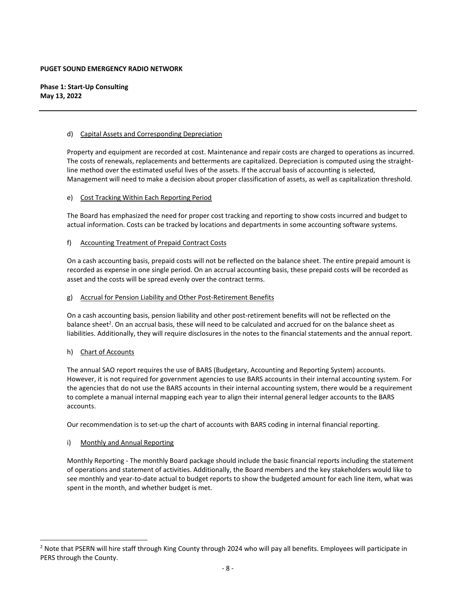**Phase 1: Start‐Up Consulting May 13, 2022**

#### d) Capital Assets and Corresponding Depreciation

Property and equipment are recorded at cost. Maintenance and repair costs are charged to operations as incurred. The costs of renewals, replacements and betterments are capitalized. Depreciation is computed using the straight‐ line method over the estimated useful lives of the assets. If the accrual basis of accounting is selected, Management will need to make a decision about proper classification of assets, as well as capitalization threshold.

#### e) Cost Tracking Within Each Reporting Period

The Board has emphasized the need for proper cost tracking and reporting to show costs incurred and budget to actual information. Costs can be tracked by locations and departments in some accounting software systems.

#### f) Accounting Treatment of Prepaid Contract Costs

On a cash accounting basis, prepaid costs will not be reflected on the balance sheet. The entire prepaid amount is recorded as expense in one single period. On an accrual accounting basis, these prepaid costs will be recorded as asset and the costs will be spread evenly over the contract terms.

#### g) Accrual for Pension Liability and Other Post‐Retirement Benefits

On a cash accounting basis, pension liability and other post‐retirement benefits will not be reflected on the balance sheet<sup>2</sup>. On an accrual basis, these will need to be calculated and accrued for on the balance sheet as liabilities. Additionally, they will require disclosures in the notes to the financial statements and the annual report.

#### h) Chart of Accounts

The annual SAO report requires the use of BARS (Budgetary, Accounting and Reporting System) accounts. However, it is not required for government agencies to use BARS accounts in their internal accounting system. For the agencies that do not use the BARS accounts in their internal accounting system, there would be a requirement to complete a manual internal mapping each year to align their internal general ledger accounts to the BARS accounts.

Our recommendation is to set‐up the chart of accounts with BARS coding in internal financial reporting.

#### i) Monthly and Annual Reporting

Monthly Reporting ‐ The monthly Board package should include the basic financial reports including the statement of operations and statement of activities. Additionally, the Board members and the key stakeholders would like to see monthly and year‐to‐date actual to budget reports to show the budgeted amount for each line item, what was spent in the month, and whether budget is met.

<sup>&</sup>lt;sup>2</sup> Note that PSERN will hire staff through King County through 2024 who will pay all benefits. Employees will participate in PERS through the County.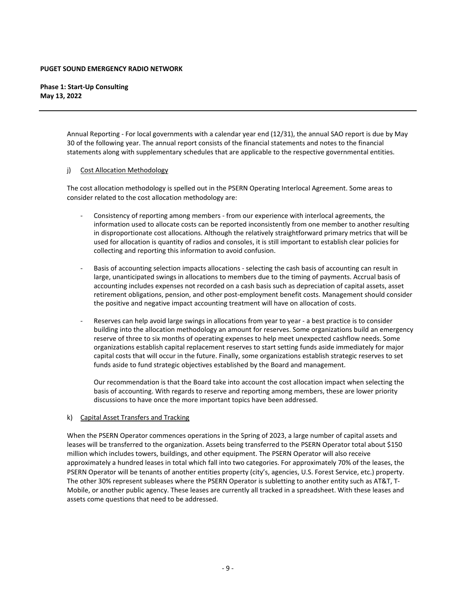#### **Phase 1: Start‐Up Consulting May 13, 2022**

Annual Reporting ‐ For local governments with a calendar year end (12/31), the annual SAO report is due by May 30 of the following year. The annual report consists of the financial statements and notes to the financial statements along with supplementary schedules that are applicable to the respective governmental entities.

#### j) Cost Allocation Methodology

The cost allocation methodology is spelled out in the PSERN Operating Interlocal Agreement. Some areas to consider related to the cost allocation methodology are:

- ‐ Consistency of reporting among members ‐ from our experience with interlocal agreements, the information used to allocate costs can be reported inconsistently from one member to another resulting in disproportionate cost allocations. Although the relatively straightforward primary metrics that will be used for allocation is quantity of radios and consoles, it is still important to establish clear policies for collecting and reporting this information to avoid confusion.
- ‐ Basis of accounting selection impacts allocations ‐ selecting the cash basis of accounting can result in large, unanticipated swings in allocations to members due to the timing of payments. Accrual basis of accounting includes expenses not recorded on a cash basis such as depreciation of capital assets, asset retirement obligations, pension, and other post-employment benefit costs. Management should consider the positive and negative impact accounting treatment will have on allocation of costs.
- Reserves can help avoid large swings in allocations from year to year a best practice is to consider building into the allocation methodology an amount for reserves. Some organizations build an emergency reserve of three to six months of operating expenses to help meet unexpected cashflow needs. Some organizations establish capital replacement reserves to start setting funds aside immediately for major capital costs that will occur in the future. Finally, some organizations establish strategic reserves to set funds aside to fund strategic objectives established by the Board and management.

Our recommendation is that the Board take into account the cost allocation impact when selecting the basis of accounting. With regards to reserve and reporting among members, these are lower priority discussions to have once the more important topics have been addressed.

#### k) Capital Asset Transfers and Tracking

When the PSERN Operator commences operations in the Spring of 2023, a large number of capital assets and leases will be transferred to the organization. Assets being transferred to the PSERN Operator total about \$150 million which includes towers, buildings, and other equipment. The PSERN Operator will also receive approximately a hundred leases in total which fall into two categories. For approximately 70% of the leases, the PSERN Operator will be tenants of another entities property (city's, agencies, U.S. Forest Service, etc.) property. The other 30% represent subleases where the PSERN Operator is subletting to another entity such as AT&T, T‐ Mobile, or another public agency. These leases are currently all tracked in a spreadsheet. With these leases and assets come questions that need to be addressed.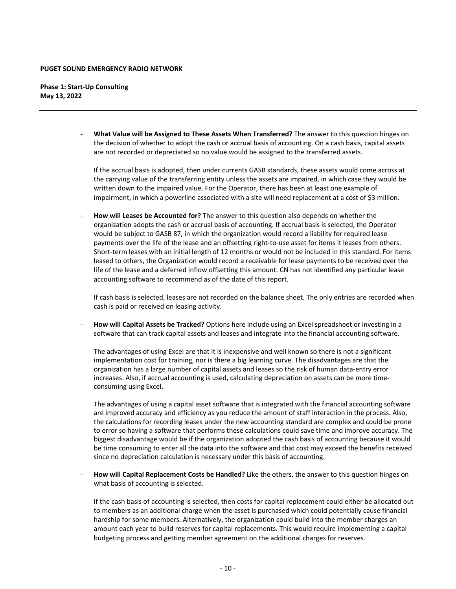**Phase 1: Start‐Up Consulting May 13, 2022**

> ‐ **What Value will be Assigned to These Assets When Transferred?** The answer to this question hinges on the decision of whether to adopt the cash or accrual basis of accounting. On a cash basis, capital assets are not recorded or depreciated so no value would be assigned to the transferred assets.

If the accrual basis is adopted, then under currents GASB standards, these assets would come across at the carrying value of the transferring entity unless the assets are impaired, in which case they would be written down to the impaired value. For the Operator, there has been at least one example of impairment, in which a powerline associated with a site will need replacement at a cost of \$3 million.

‐ **How will Leases be Accounted for?** The answer to this question also depends on whether the organization adopts the cash or accrual basis of accounting. If accrual basis is selected, the Operator would be subject to GASB 87, in which the organization would record a liability for required lease payments over the life of the lease and an offsetting right-to-use asset for items it leases from others. Short-term leases with an initial length of 12 months or would not be included in this standard. For items leased to others, the Organization would record a receivable for lease payments to be received over the life of the lease and a deferred inflow offsetting this amount. CN has not identified any particular lease accounting software to recommend as of the date of this report.

If cash basis is selected, leases are not recorded on the balance sheet. The only entries are recorded when cash is paid or received on leasing activity.

‐ **How will Capital Assets be Tracked?** Options here include using an Excel spreadsheet or investing in a software that can track capital assets and leases and integrate into the financial accounting software.

The advantages of using Excel are that it is inexpensive and well known so there is not a significant implementation cost for training, nor is there a big learning curve. The disadvantages are that the organization has a large number of capital assets and leases so the risk of human data‐entry error increases. Also, if accrual accounting is used, calculating depreciation on assets can be more time‐ consuming using Excel.

The advantages of using a capital asset software that is integrated with the financial accounting software are improved accuracy and efficiency as you reduce the amount of staff interaction in the process. Also, the calculations for recording leases under the new accounting standard are complex and could be prone to error so having a software that performs these calculations could save time and improve accuracy. The biggest disadvantage would be if the organization adopted the cash basis of accounting because it would be time consuming to enter all the data into the software and that cost may exceed the benefits received since no depreciation calculation is necessary under this basis of accounting.

‐ **How will Capital Replacement Costs be Handled?** Like the others, the answer to this question hinges on what basis of accounting is selected.

If the cash basis of accounting is selected, then costs for capital replacement could either be allocated out to members as an additional charge when the asset is purchased which could potentially cause financial hardship for some members. Alternatively, the organization could build into the member charges an amount each year to build reserves for capital replacements. This would require implementing a capital budgeting process and getting member agreement on the additional charges for reserves.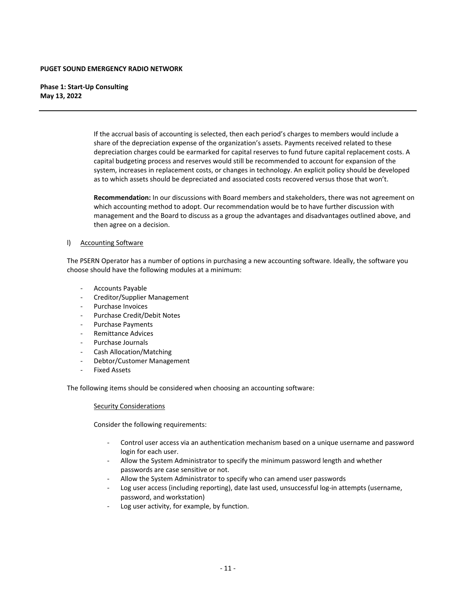**Phase 1: Start‐Up Consulting May 13, 2022**

> If the accrual basis of accounting is selected, then each period's charges to members would include a share of the depreciation expense of the organization's assets. Payments received related to these depreciation charges could be earmarked for capital reserves to fund future capital replacement costs. A capital budgeting process and reserves would still be recommended to account for expansion of the system, increases in replacement costs, or changes in technology. An explicit policy should be developed as to which assets should be depreciated and associated costs recovered versus those that won't.

> **Recommendation:** In our discussions with Board members and stakeholders, there was not agreement on which accounting method to adopt. Our recommendation would be to have further discussion with management and the Board to discuss as a group the advantages and disadvantages outlined above, and then agree on a decision.

#### l) Accounting Software

The PSERN Operator has a number of options in purchasing a new accounting software. Ideally, the software you choose should have the following modules at a minimum:

- ‐ Accounts Payable
- ‐ Creditor/Supplier Management
- ‐ Purchase Invoices
- ‐ Purchase Credit/Debit Notes
- ‐ Purchase Payments
- ‐ Remittance Advices
- ‐ Purchase Journals
- ‐ Cash Allocation/Matching
- ‐ Debtor/Customer Management
- ‐ Fixed Assets

The following items should be considered when choosing an accounting software:

#### Security Considerations

Consider the following requirements:

- ‐ Control user access via an authentication mechanism based on a unique username and password login for each user.
- ‐ Allow the System Administrator to specify the minimum password length and whether passwords are case sensitive or not.
- Allow the System Administrator to specify who can amend user passwords
- Log user access (including reporting), date last used, unsuccessful log-in attempts (username, password, and workstation)
- Log user activity, for example, by function.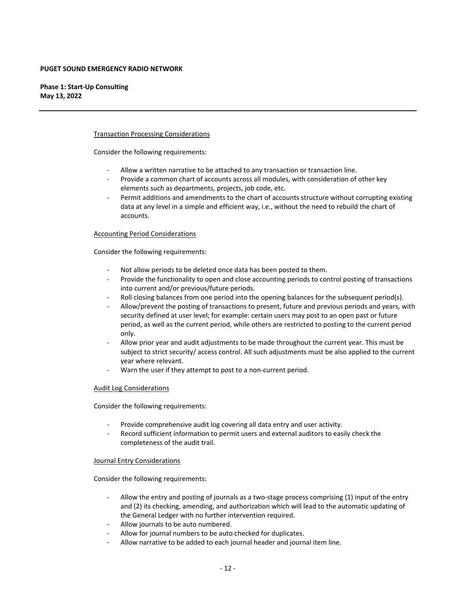**Phase 1: Start‐Up Consulting May 13, 2022**

#### Transaction Processing Considerations

Consider the following requirements:

- ‐ Allow a written narrative to be attached to any transaction or transaction line.
- Provide a common chart of accounts across all modules, with consideration of other key elements such as departments, projects, job code, etc.
- ‐ Permit additions and amendments to the chart of accounts structure without corrupting existing data at any level in a simple and efficient way, i.e., without the need to rebuild the chart of accounts.

#### Accounting Period Considerations

Consider the following requirements:

- Not allow periods to be deleted once data has been posted to them.
- ‐ Provide the functionality to open and close accounting periods to control posting of transactions into current and/or previous/future periods.
- Roll closing balances from one period into the opening balances for the subsequent period(s).
- ‐ Allow/prevent the posting of transactions to present, future and previous periods and years, with security defined at user level; for example: certain users may post to an open past or future period, as well as the current period, while others are restricted to posting to the current period only.
- ‐ Allow prior year and audit adjustments to be made throughout the current year. This must be subject to strict security/ access control. All such adjustments must be also applied to the current year where relevant.
- Warn the user if they attempt to post to a non-current period.

#### Audit Log Considerations

Consider the following requirements:

- ‐ Provide comprehensive audit log covering all data entry and user activity.
- ‐ Record sufficient information to permit users and external auditors to easily check the completeness of the audit trail.

#### Journal Entry Considerations

Consider the following requirements:

- Allow the entry and posting of journals as a two-stage process comprising (1) input of the entry and (2) its checking, amending, and authorization which will lead to the automatic updating of the General Ledger with no further intervention required.
- Allow journals to be auto numbered.
- Allow for journal numbers to be auto checked for duplicates.
- ‐ Allow narrative to be added to each journal header and journal item line.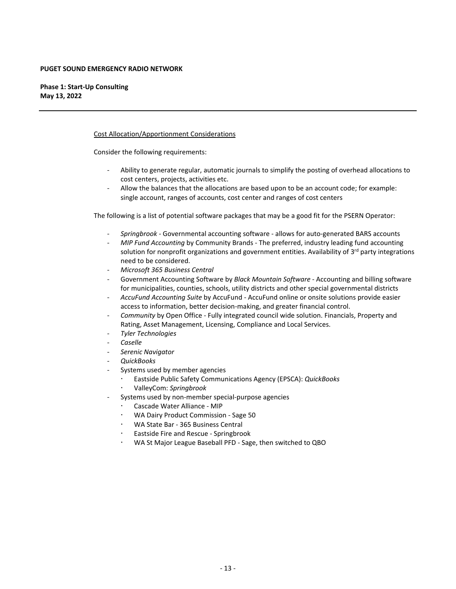**Phase 1: Start‐Up Consulting May 13, 2022**

#### Cost Allocation/Apportionment Considerations

Consider the following requirements:

- ‐ Ability to generate regular, automatic journals to simplify the posting of overhead allocations to cost centers, projects, activities etc.
- ‐ Allow the balances that the allocations are based upon to be an account code; for example: single account, ranges of accounts, cost center and ranges of cost centers

The following is a list of potential software packages that may be a good fit for the PSERN Operator:

- ‐ *Springbrook ‐* Governmental accounting software ‐ allows for auto‐generated BARS accounts
- ‐ *MIP Fund Accounting* by Community Brands ‐ The preferred, industry leading fund accounting solution for nonprofit organizations and government entities. Availability of  $3<sup>rd</sup>$  party integrations need to be considered.
- ‐ *Microsoft 365 Business Central*
- ‐ Government Accounting Software by *Black Mountain Software* ‐ Accounting and billing software for municipalities, counties, schools, utility districts and other special governmental districts
- ‐ *AccuFund Accounting Suite* by AccuFund ‐ AccuFund online or onsite solutions provide easier access to information, better decision‐making, and greater financial control.
- ‐ *Community* by Open Office ‐ Fully integrated council wide solution. Financials, Property and Rating, Asset Management, Licensing, Compliance and Local Services.
- ‐ *Tyler Technologies*
- ‐ *Caselle*
- ‐ *Serenic Navigator*
- ‐ *QuickBooks*
- Systems used by member agencies
	- Eastside Public Safety Communications Agency (EPSCA): *QuickBooks*
	- ValleyCom: *Springbrook*
- Systems used by non-member special-purpose agencies
	- Cascade Water Alliance ‐ MIP
	- WA Dairy Product Commission ‐ Sage 50
	- WA State Bar ‐ 365 Business Central
	- Eastside Fire and Rescue ‐ Springbrook
	- WA St Major League Baseball PFD ‐ Sage, then switched to QBO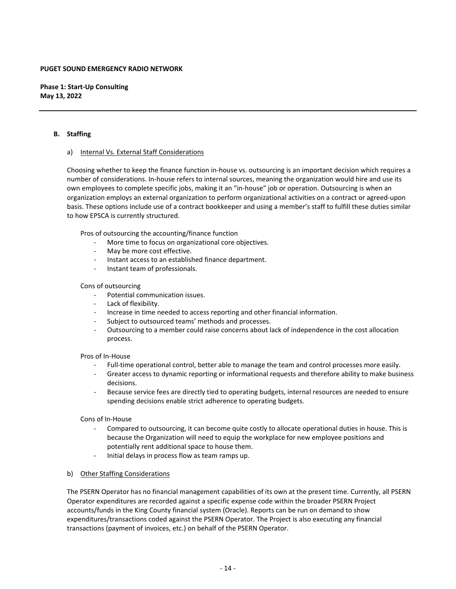**Phase 1: Start‐Up Consulting May 13, 2022**

#### **B. Staffing**

#### a) Internal Vs. External Staff Considerations

Choosing whether to keep the finance function in‐house vs. outsourcing is an important decision which requires a number of considerations. In‐house refers to internal sources, meaning the organization would hire and use its own employees to complete specific jobs, making it an "in‐house" job or operation. Outsourcing is when an organization employs an external organization to perform organizational activities on a contract or agreed‐upon basis. These options include use of a contract bookkeeper and using a member's staff to fulfill these duties similar to how EPSCA is currently structured.

Pros of outsourcing the accounting/finance function

- ‐ More time to focus on organizational core objectives.
- May be more cost effective.
- ‐ Instant access to an established finance department.
- ‐ Instant team of professionals.

#### Cons of outsourcing

- ‐ Potential communication issues.
- ‐ Lack of flexibility.
- ‐ Increase in time needed to access reporting and other financial information.
- Subject to outsourced teams' methods and processes.
- ‐ Outsourcing to a member could raise concerns about lack of independence in the cost allocation process.

#### Pros of In‐House

- Full-time operational control, better able to manage the team and control processes more easily.
- ‐ Greater access to dynamic reporting or informational requests and therefore ability to make business decisions.
- ‐ Because service fees are directly tied to operating budgets, internal resources are needed to ensure spending decisions enable strict adherence to operating budgets.

#### Cons of In‐House

- ‐ Compared to outsourcing, it can become quite costly to allocate operational duties in house. This is because the Organization will need to equip the workplace for new employee positions and potentially rent additional space to house them.
- ‐ Initial delays in process flow as team ramps up.

#### b) Other Staffing Considerations

The PSERN Operator has no financial management capabilities of its own at the present time. Currently, all PSERN Operator expenditures are recorded against a specific expense code within the broader PSERN Project accounts/funds in the King County financial system (Oracle). Reports can be run on demand to show expenditures/transactions coded against the PSERN Operator. The Project is also executing any financial transactions (payment of invoices, etc.) on behalf of the PSERN Operator.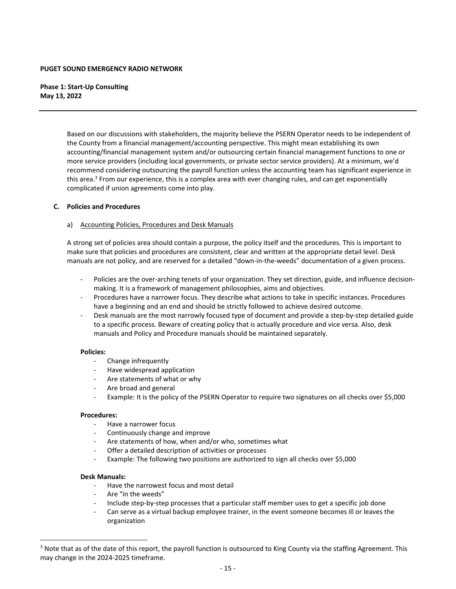**Phase 1: Start‐Up Consulting May 13, 2022**

> Based on our discussions with stakeholders, the majority believe the PSERN Operator needs to be independent of the County from a financial management/accounting perspective. This might mean establishing its own accounting/financial management system and/or outsourcing certain financial management functions to one or more service providers (including local governments, or private sector service providers). At a minimum, we'd recommend considering outsourcing the payroll function unless the accounting team has significant experience in this area.<sup>3</sup> From our experience, this is a complex area with ever changing rules, and can get exponentially complicated if union agreements come into play.

#### **C. Policies and Procedures**

#### a) Accounting Policies, Procedures and Desk Manuals

A strong set of policies area should contain a purpose, the policy itself and the procedures. This is important to make sure that policies and procedures are consistent, clear and written at the appropriate detail level. Desk manuals are not policy, and are reserved for a detailed "down‐in‐the‐weeds" documentation of a given process.

- Policies are the over-arching tenets of your organization. They set direction, guide, and influence decisionmaking. It is a framework of management philosophies, aims and objectives.
- ‐ Procedures have a narrower focus. They describe what actions to take in specific instances. Procedures have a beginning and an end and should be strictly followed to achieve desired outcome.
- ‐ Desk manuals are the most narrowly focused type of document and provide a step‐by‐step detailed guide to a specific process. Beware of creating policy that is actually procedure and vice versa. Also, desk manuals and Policy and Procedure manuals should be maintained separately.

#### **Policies:**

- ‐ Change infrequently
- ‐ Have widespread application
- ‐ Are statements of what or why
- ‐ Are broad and general
- ‐ Example: It is the policy of the PSERN Operator to require two signatures on all checks over \$5,000

#### **Procedures:**

- ‐ Have a narrower focus
- ‐ Continuously change and improve
- Are statements of how, when and/or who, sometimes what
- Offer a detailed description of activities or processes
- ‐ Example: The following two positions are authorized to sign all checks over \$5,000

#### **Desk Manuals:**

- ‐ Have the narrowest focus and most detail
- ‐ Are "in the weeds"
- ‐ Include step‐by‐step processes that a particular staff member uses to get a specific job done
- ‐ Can serve as a virtual backup employee trainer, in the event someone becomes ill or leaves the organization

<sup>&</sup>lt;sup>3</sup> Note that as of the date of this report, the payroll function is outsourced to King County via the staffing Agreement. This may change in the 2024‐2025 timeframe.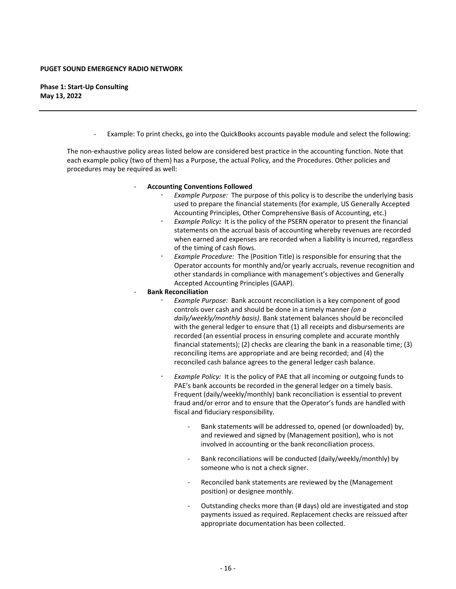**Phase 1: Start‐Up Consulting May 13, 2022**

Example: To print checks, go into the QuickBooks accounts payable module and select the following:

The non-exhaustive policy areas listed below are considered best practice in the accounting function. Note that each example policy (two of them) has a Purpose, the actual Policy, and the Procedures. Other policies and procedures may be required as well:

#### ‐ **Accounting Conventions Followed**

- *Example Purpose:* The purpose of this policy is to describe the underlying basis used to prepare the financial statements (for example, US Generally Accepted Accounting Principles, Other Comprehensive Basis of Accounting, etc.)
- *Example Policy:* It is the policy of the PSERN operator to present the financial statements on the accrual basis of accounting whereby revenues are recorded when earned and expenses are recorded when a liability is incurred, regardless of the timing of cash flows.
- *Example Procedure:* The (Position Title) is responsible for ensuring that the Operator accounts for monthly and/or yearly accruals, revenue recognition and other standards in compliance with management's objectives and Generally Accepted Accounting Principles (GAAP).
- ‐ **Bank Reconciliation**
	- *Example Purpose:* Bank account reconciliation is a key component of good controls over cash and should be done in a timely manner *(on a daily/weekly/monthly basis)*. Bank statement balances should be reconciled with the general ledger to ensure that (1) all receipts and disbursements are recorded (an essential process in ensuring complete and accurate monthly financial statements); (2) checks are clearing the bank in a reasonable time; (3) reconciling items are appropriate and are being recorded; and (4) the reconciled cash balance agrees to the general ledger cash balance.
	- *Example Policy:* It is the policy of PAE that all incoming or outgoing funds to PAE's bank accounts be recorded in the general ledger on a timely basis. Frequent (daily/weekly/monthly) bank reconciliation is essential to prevent fraud and/or error and to ensure that the Operator's funds are handled with fiscal and fiduciary responsibility.
		- ‐ Bank statements will be addressed to, opened (or downloaded) by, and reviewed and signed by (Management position), who is not involved in accounting or the bank reconciliation process.
		- ‐ Bank reconciliations will be conducted (daily/weekly/monthly) by someone who is not a check signer.
		- Reconciled bank statements are reviewed by the (Management position) or designee monthly.
		- ‐ Outstanding checks more than (# days) old are investigated and stop payments issued as required. Replacement checks are reissued after appropriate documentation has been collected.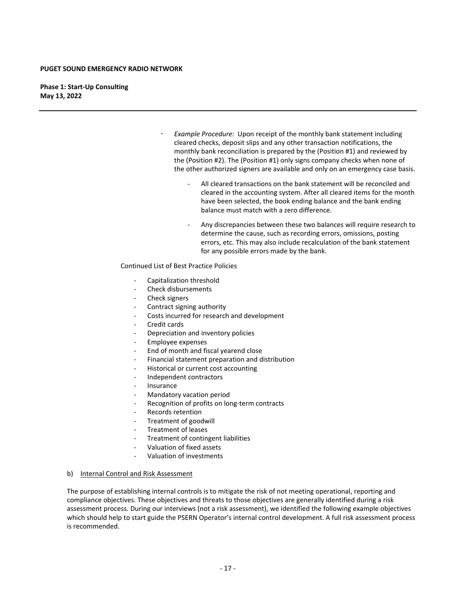**Phase 1: Start‐Up Consulting May 13, 2022**

- *Example Procedure:* Upon receipt of the monthly bank statement including cleared checks, deposit slips and any other transaction notifications, the monthly bank reconciliation is prepared by the (Position #1) and reviewed by the (Position #2). The (Position #1) only signs company checks when none of the other authorized signers are available and only on an emergency case basis.
	- ‐ All cleared transactions on the bank statement will be reconciled and cleared in the accounting system. After all cleared items for the month have been selected, the book ending balance and the bank ending balance must match with a zero difference.
	- ‐ Any discrepancies between these two balances will require research to determine the cause, such as recording errors, omissions, posting errors, etc. This may also include recalculation of the bank statement for any possible errors made by the bank.

#### Continued List of Best Practice Policies

- ‐ Capitalization threshold
- ‐ Check disbursements
- ‐ Check signers
- ‐ Contract signing authority
- ‐ Costs incurred for research and development
- ‐ Credit cards
- ‐ Depreciation and inventory policies
- ‐ Employee expenses
- ‐ End of month and fiscal yearend close
- ‐ Financial statement preparation and distribution
- ‐ Historical or current cost accounting
- ‐ Independent contractors
- ‐ Insurance
- ‐ Mandatory vacation period
- ‐ Recognition of profits on long‐term contracts
- ‐ Records retention
- ‐ Treatment of goodwill
- ‐ Treatment of leases
- ‐ Treatment of contingent liabilities
- ‐ Valuation of fixed assets
- ‐ Valuation of investments

#### b) Internal Control and Risk Assessment

The purpose of establishing internal controls is to mitigate the risk of not meeting operational, reporting and compliance objectives. These objectives and threats to those objectives are generally identified during a risk assessment process. During our interviews (not a risk assessment), we identified the following example objectives which should help to start guide the PSERN Operator's internal control development. A full risk assessment process is recommended.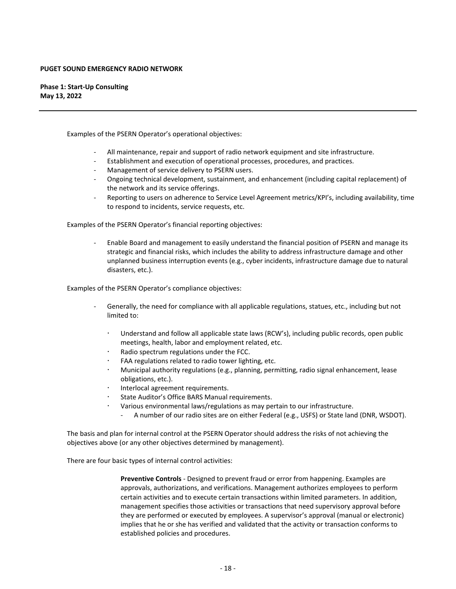**Phase 1: Start‐Up Consulting May 13, 2022**

Examples of the PSERN Operator's operational objectives:

- ‐ All maintenance, repair and support of radio network equipment and site infrastructure.
- ‐ Establishment and execution of operational processes, procedures, and practices.
- ‐ Management of service delivery to PSERN users.
- ‐ Ongoing technical development, sustainment, and enhancement (including capital replacement) of the network and its service offerings.
- ‐ Reporting to users on adherence to Service Level Agreement metrics/KPI's, including availability, time to respond to incidents, service requests, etc.

Examples of the PSERN Operator's financial reporting objectives:

‐ Enable Board and management to easily understand the financial position of PSERN and manage its strategic and financial risks, which includes the ability to address infrastructure damage and other unplanned business interruption events (e.g., cyber incidents, infrastructure damage due to natural disasters, etc.).

Examples of the PSERN Operator's compliance objectives:

- ‐ Generally, the need for compliance with all applicable regulations, statues, etc., including but not limited to:
	- Understand and follow all applicable state laws (RCW's), including public records, open public meetings, health, labor and employment related, etc.
	- Radio spectrum regulations under the FCC.
	- FAA regulations related to radio tower lighting, etc.
	- Municipal authority regulations (e.g., planning, permitting, radio signal enhancement, lease obligations, etc.).
	- Interlocal agreement requirements.
	- State Auditor's Office BARS Manual requirements.
	- Various environmental laws/regulations as may pertain to our infrastructure.
		- ‐ A number of our radio sites are on either Federal (e.g., USFS) or State land (DNR, WSDOT).

The basis and plan for internal control at the PSERN Operator should address the risks of not achieving the objectives above (or any other objectives determined by management).

There are four basic types of internal control activities:

**Preventive Controls** ‐ Designed to prevent fraud or error from happening. Examples are approvals, authorizations, and verifications. Management authorizes employees to perform certain activities and to execute certain transactions within limited parameters. In addition, management specifies those activities or transactions that need supervisory approval before they are performed or executed by employees. A supervisor's approval (manual or electronic) implies that he or she has verified and validated that the activity or transaction conforms to established policies and procedures.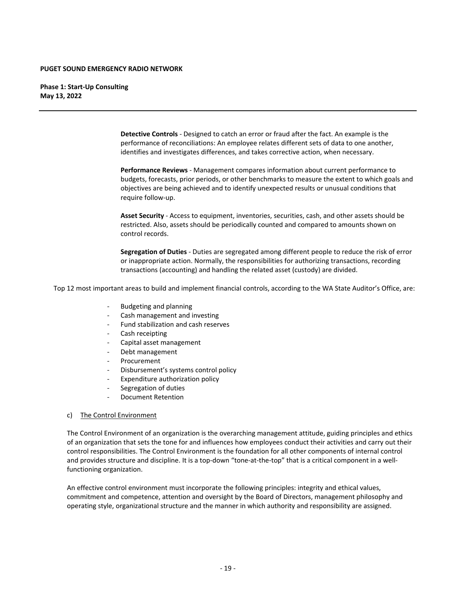**Phase 1: Start‐Up Consulting May 13, 2022**

> **Detective Controls** ‐ Designed to catch an error or fraud after the fact. An example is the performance of reconciliations: An employee relates different sets of data to one another, identifies and investigates differences, and takes corrective action, when necessary.

**Performance Reviews** ‐ Management compares information about current performance to budgets, forecasts, prior periods, or other benchmarks to measure the extent to which goals and objectives are being achieved and to identify unexpected results or unusual conditions that require follow‐up.

**Asset Security** ‐ Access to equipment, inventories, securities, cash, and other assets should be restricted. Also, assets should be periodically counted and compared to amounts shown on control records.

**Segregation of Duties** ‐ Duties are segregated among different people to reduce the risk of error or inappropriate action. Normally, the responsibilities for authorizing transactions, recording transactions (accounting) and handling the related asset (custody) are divided.

Top 12 most important areas to build and implement financial controls, according to the WA State Auditor's Office, are:

- ‐ Budgeting and planning
- ‐ Cash management and investing
- ‐ Fund stabilization and cash reserves
- ‐ Cash receipting
- ‐ Capital asset management
- ‐ Debt management
- **Procurement**
- ‐ Disbursement's systems control policy
- ‐ Expenditure authorization policy
- ‐ Segregation of duties
- ‐ Document Retention

#### c) The Control Environment

The Control Environment of an organization is the overarching management attitude, guiding principles and ethics of an organization that sets the tone for and influences how employees conduct their activities and carry out their control responsibilities. The Control Environment is the foundation for all other components of internal control and provides structure and discipline. It is a top-down "tone-at-the-top" that is a critical component in a wellfunctioning organization.

An effective control environment must incorporate the following principles: integrity and ethical values, commitment and competence, attention and oversight by the Board of Directors, management philosophy and operating style, organizational structure and the manner in which authority and responsibility are assigned.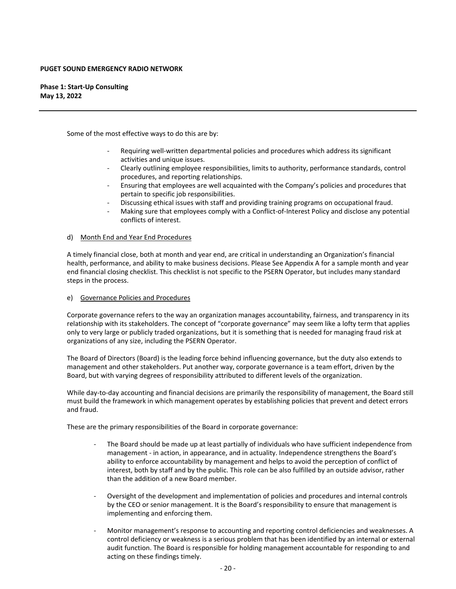#### **Phase 1: Start‐Up Consulting May 13, 2022**

Some of the most effective ways to do this are by:

- ‐ Requiring well‐written departmental policies and procedures which address its significant activities and unique issues.
- ‐ Clearly outlining employee responsibilities, limits to authority, performance standards, control procedures, and reporting relationships.
- ‐ Ensuring that employees are well acquainted with the Company's policies and procedures that pertain to specific job responsibilities.
- ‐ Discussing ethical issues with staff and providing training programs on occupational fraud.
- ‐ Making sure that employees comply with a Conflict‐of‐Interest Policy and disclose any potential conflicts of interest.

#### d) Month End and Year End Procedures

A timely financial close, both at month and year end, are critical in understanding an Organization's financial health, performance, and ability to make business decisions. Please See Appendix A for a sample month and year end financial closing checklist. This checklist is not specific to the PSERN Operator, but includes many standard steps in the process.

#### e) Governance Policies and Procedures

Corporate governance refers to the way an organization manages accountability, fairness, and transparency in its relationship with its stakeholders. The concept of "corporate governance" may seem like a lofty term that applies only to very large or publicly traded organizations, but it is something that is needed for managing fraud risk at organizations of any size, including the PSERN Operator.

The Board of Directors (Board) is the leading force behind influencing governance, but the duty also extends to management and other stakeholders. Put another way, corporate governance is a team effort, driven by the Board, but with varying degrees of responsibility attributed to different levels of the organization.

While day-to-day accounting and financial decisions are primarily the responsibility of management, the Board still must build the framework in which management operates by establishing policies that prevent and detect errors and fraud.

These are the primary responsibilities of the Board in corporate governance:

- ‐ The Board should be made up at least partially of individuals who have sufficient independence from management ‐ in action, in appearance, and in actuality. Independence strengthens the Board's ability to enforce accountability by management and helps to avoid the perception of conflict of interest, both by staff and by the public. This role can be also fulfilled by an outside advisor, rather than the addition of a new Board member.
- ‐ Oversight of the development and implementation of policies and procedures and internal controls by the CEO or senior management. It is the Board's responsibility to ensure that management is implementing and enforcing them.
- ‐ Monitor management's response to accounting and reporting control deficiencies and weaknesses. A control deficiency or weakness is a serious problem that has been identified by an internal or external audit function. The Board is responsible for holding management accountable for responding to and acting on these findings timely.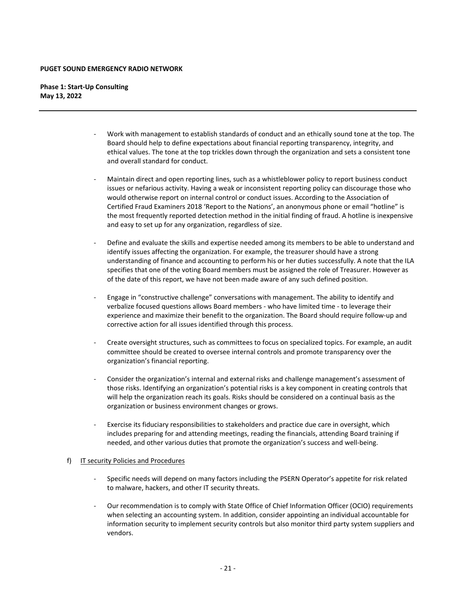**Phase 1: Start‐Up Consulting May 13, 2022**

- ‐ Work with management to establish standards of conduct and an ethically sound tone at the top. The Board should help to define expectations about financial reporting transparency, integrity, and ethical values. The tone at the top trickles down through the organization and sets a consistent tone and overall standard for conduct.
- ‐ Maintain direct and open reporting lines, such as a whistleblower policy to report business conduct issues or nefarious activity. Having a weak or inconsistent reporting policy can discourage those who would otherwise report on internal control or conduct issues. According to the Association of Certified Fraud Examiners 2018 'Report to the Nations', an anonymous phone or email "hotline" is the most frequently reported detection method in the initial finding of fraud. A hotline is inexpensive and easy to set up for any organization, regardless of size.
- ‐ Define and evaluate the skills and expertise needed among its members to be able to understand and identify issues affecting the organization. For example, the treasurer should have a strong understanding of finance and accounting to perform his or her duties successfully. A note that the ILA specifies that one of the voting Board members must be assigned the role of Treasurer. However as of the date of this report, we have not been made aware of any such defined position.
- ‐ Engage in "constructive challenge" conversations with management. The ability to identify and verbalize focused questions allows Board members ‐ who have limited time ‐ to leverage their experience and maximize their benefit to the organization. The Board should require follow‐up and corrective action for all issues identified through this process.
- ‐ Create oversight structures, such as committees to focus on specialized topics. For example, an audit committee should be created to oversee internal controls and promote transparency over the organization's financial reporting.
- ‐ Consider the organization's internal and external risks and challenge management's assessment of those risks. Identifying an organization's potential risks is a key component in creating controls that will help the organization reach its goals. Risks should be considered on a continual basis as the organization or business environment changes or grows.
- Exercise its fiduciary responsibilities to stakeholders and practice due care in oversight, which includes preparing for and attending meetings, reading the financials, attending Board training if needed, and other various duties that promote the organization's success and well‐being.

#### f) IT security Policies and Procedures

- ‐ Specific needs will depend on many factors including the PSERN Operator's appetite for risk related to malware, hackers, and other IT security threats.
- ‐ Our recommendation is to comply with State Office of Chief Information Officer (OCIO) requirements when selecting an accounting system. In addition, consider appointing an individual accountable for information security to implement security controls but also monitor third party system suppliers and vendors.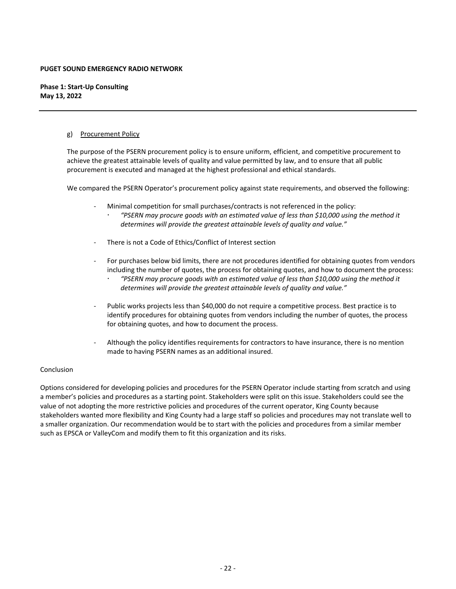**Phase 1: Start‐Up Consulting May 13, 2022**

#### g) Procurement Policy

The purpose of the PSERN procurement policy is to ensure uniform, efficient, and competitive procurement to achieve the greatest attainable levels of quality and value permitted by law, and to ensure that all public procurement is executed and managed at the highest professional and ethical standards.

We compared the PSERN Operator's procurement policy against state requirements, and observed the following:

- ‐ Minimal competition for small purchases/contracts is not referenced in the policy:
	- *"PSERN may procure goods with an estimated value of less than \$10,000 using the method it determines will provide the greatest attainable levels of quality and value."*
- There is not a Code of Ethics/Conflict of Interest section
- ‐ For purchases below bid limits, there are not procedures identified for obtaining quotes from vendors including the number of quotes, the process for obtaining quotes, and how to document the process:
	- *"PSERN may procure goods with an estimated value of less than \$10,000 using the method it determines will provide the greatest attainable levels of quality and value."*
- Public works projects less than \$40,000 do not require a competitive process. Best practice is to identify procedures for obtaining quotes from vendors including the number of quotes, the process for obtaining quotes, and how to document the process.
- ‐ Although the policy identifies requirements for contractors to have insurance, there is no mention made to having PSERN names as an additional insured.

#### Conclusion

Options considered for developing policies and procedures for the PSERN Operator include starting from scratch and using a member's policies and procedures as a starting point. Stakeholders were split on this issue. Stakeholders could see the value of not adopting the more restrictive policies and procedures of the current operator, King County because stakeholders wanted more flexibility and King County had a large staff so policies and procedures may not translate well to a smaller organization. Our recommendation would be to start with the policies and procedures from a similar member such as EPSCA or ValleyCom and modify them to fit this organization and its risks.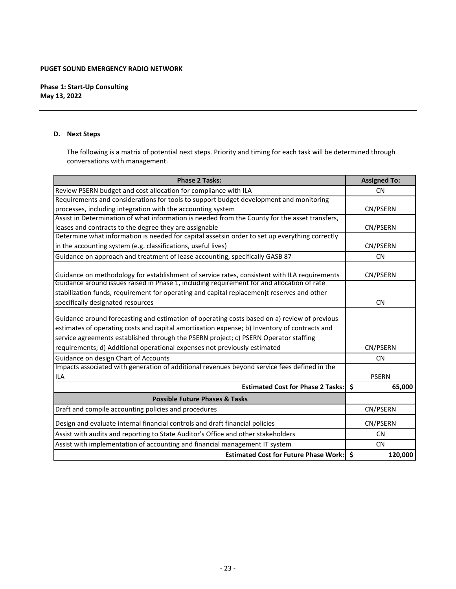**Phase 1: Start‐Up Consulting May 13, 2022**

#### **D. Next Steps**

The following is a matrix of potential next steps. Priority and timing for each task will be determined through conversations with management.

| <b>Phase 2 Tasks:</b>                                                                                                                                                                                                                                                                | <b>Assigned To:</b> |
|--------------------------------------------------------------------------------------------------------------------------------------------------------------------------------------------------------------------------------------------------------------------------------------|---------------------|
| Review PSERN budget and cost allocation for compliance with ILA                                                                                                                                                                                                                      | <b>CN</b>           |
| Requirements and considerations for tools to support budget development and monitoring                                                                                                                                                                                               |                     |
| processes, including integration with the accounting system                                                                                                                                                                                                                          | CN/PSERN            |
| Assist in Determination of what information is needed from the County for the asset transfers,                                                                                                                                                                                       |                     |
| leases and contracts to the degree they are assignable                                                                                                                                                                                                                               | CN/PSERN            |
| Determine what information is needed for capital assetsin order to set up everything correctly                                                                                                                                                                                       |                     |
| in the accounting system (e.g. classifications, useful lives)                                                                                                                                                                                                                        | CN/PSERN            |
| Guidance on approach and treatment of lease accounting, specifically GASB 87                                                                                                                                                                                                         | <b>CN</b>           |
| Guidance on methodology for establishment of service rates, consistent with ILA requirements                                                                                                                                                                                         | CN/PSERN            |
| Guidance around issues raised in Phase 1, including requirement for and allocation of rate                                                                                                                                                                                           |                     |
| stabilization funds, requirement for operating and capital replacemenjt reserves and other                                                                                                                                                                                           |                     |
| specifically designated resources                                                                                                                                                                                                                                                    | <b>CN</b>           |
| Guidance around forecasting and estimation of operating costs based on a) review of previous<br>estimates of operating costs and capital amortixation expense; b) Inventory of contracts and<br>service agreements established through the PSERN project; c) PSERN Operator staffing |                     |
| requirements; d) Additional operational expenses not previously estimated                                                                                                                                                                                                            | CN/PSERN            |
| Guidance on design Chart of Accounts                                                                                                                                                                                                                                                 | <b>CN</b>           |
| Impacts associated with generation of additional revenues beyond service fees defined in the<br><b>ILA</b>                                                                                                                                                                           | <b>PSERN</b>        |
| <b>Estimated Cost for Phase 2 Tasks:</b>                                                                                                                                                                                                                                             | Ŝ.<br>65,000        |
| <b>Possible Future Phases &amp; Tasks</b>                                                                                                                                                                                                                                            |                     |
| Draft and compile accounting policies and procedures                                                                                                                                                                                                                                 | CN/PSERN            |
| Design and evaluate internal financial controls and draft financial policies                                                                                                                                                                                                         | CN/PSERN            |
| Assist with audits and reporting to State Auditor's Office and other stakeholders                                                                                                                                                                                                    | <b>CN</b>           |
| Assist with implementation of accounting and financial management IT system                                                                                                                                                                                                          | <b>CN</b>           |
| <b>Estimated Cost for Future Phase Work:</b>                                                                                                                                                                                                                                         | \$<br>120,000       |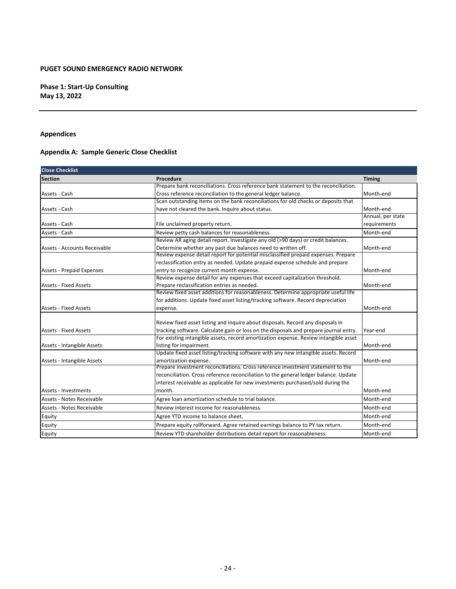**Phase 1: Start‐Up Consulting May 13, 2022**

**Appendices**

## **Appendix A: Sample Generic Close Checklist**

| <b>Close Checklist</b>           |                                                                                       |                   |  |
|----------------------------------|---------------------------------------------------------------------------------------|-------------------|--|
| <b>Section</b>                   | Procedure                                                                             | <b>Timing</b>     |  |
|                                  | Prepare bank reconciliations. Cross reference bank statement to the reconciliation.   |                   |  |
| Assets - Cash                    | Cross reference reconciliation to the general ledger balance.                         | Month-end         |  |
|                                  | Scan outstanding items on the bank reconciliations for old checks or deposits that    |                   |  |
| Assets - Cash                    | have not cleared the bank. Inquire about status.                                      | Month-end         |  |
|                                  |                                                                                       | Annual, per state |  |
| Assets - Cash                    | File unclaimed property return.                                                       | requirements      |  |
| Assets - Cash                    | Review petty cash balances for reasonableness.                                        | Month-end         |  |
|                                  | Review AR aging detail report. Investigate any old (>90 days) or credit balances.     |                   |  |
| Assets - Accounts Receivable     | Determine whether any past due balances need to written off.                          | Month-end         |  |
|                                  | Review expense detail report for potential misclassified prepaid expenses. Prepare    |                   |  |
|                                  | reclassification entry as needed. Update prepaid expense schedule and prepare         |                   |  |
| <b>Assets - Prepaid Expenses</b> | entry to recognize current month expense.                                             | Month-end         |  |
|                                  | Review expense detail for any expenses that exceed capitalization threshold.          |                   |  |
| <b>Assets - Fixed Assets</b>     | Prepare reclassification entries as needed.                                           | Month-end         |  |
|                                  | Review fixed asset additions for reasonableness. Determine appropriate useful life    |                   |  |
|                                  | for additions. Update fixed asset listing/tracking software. Record depreciation      |                   |  |
| <b>Assets - Fixed Assets</b>     | expense.                                                                              | Month-end         |  |
|                                  | Review fixed asset listing and inquire about disposals. Record any disposals in       |                   |  |
| <b>Assets - Fixed Assets</b>     | tracking software. Calculate gain or loss on the disposals and prepare journal entry. | Year-end          |  |
|                                  | For existing intangible assets, record amortization expense. Review intangible asset  |                   |  |
| Assets - Intangible Assets       | listing for impairment.                                                               | Month-end         |  |
|                                  | Update fixed asset listing/tracking software with any new intangible assets. Record   |                   |  |
| Assets - Intangible Assets       | amortization expense.                                                                 | Month-end         |  |
|                                  | Prepare investment reconciliations. Cross reference investment statement to the       |                   |  |
|                                  | reconciliation. Cross reference reconciliation to the general ledger balance. Update  |                   |  |
|                                  | interest receivable as applicable for new investments purchased/sold during the       |                   |  |
| Assets - Investments             | month.                                                                                | Month-end         |  |
| Assets - Notes Receivable        | Agree loan amortization schedule to trial balance.                                    | Month-end         |  |
| Assets - Notes Receivable        | Review interest income for reasonableness.                                            | Month-end         |  |
| Equity                           | Agree YTD income to balance sheet.                                                    | Month-end         |  |
| Equity                           | Prepare equity rollforward. Agree retained earnings balance to PY tax return.         | Month-end         |  |
| Equity                           | Review YTD shareholder distributions detail report for reasonableness.                | Month-end         |  |